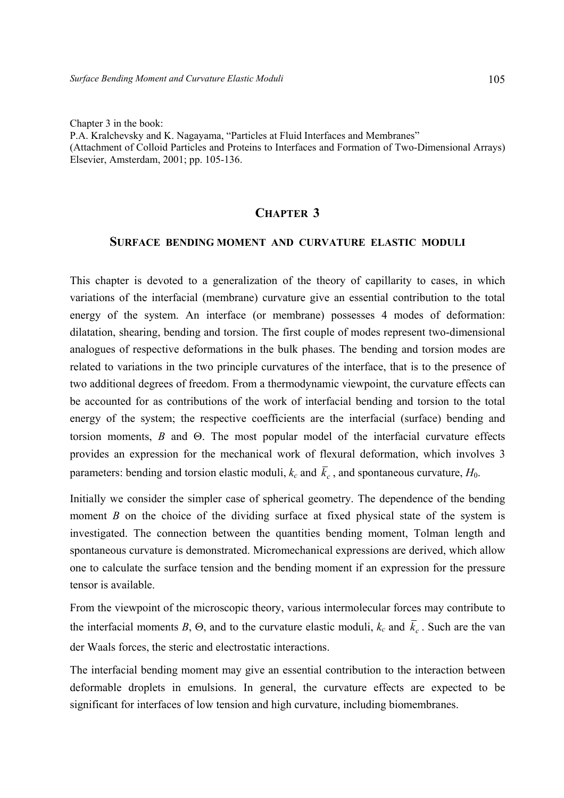Chapter 3 in the book:

P.A. Kralchevsky and K. Nagayama, "Particles at Fluid Interfaces and Membranes" (Attachment of Colloid Particles and Proteins to Interfaces and Formation of Two-Dimensional Arrays) Elsevier, Amsterdam, 2001; pp. 105-136.

# **CHAPTER 3**

### **SURFACE BENDING MOMENT AND CURVATURE ELASTIC MODULI**

This chapter is devoted to a generalization of the theory of capillarity to cases, in which variations of the interfacial (membrane) curvature give an essential contribution to the total energy of the system. An interface (or membrane) possesses 4 modes of deformation: dilatation, shearing, bending and torsion. The first couple of modes represent two-dimensional analogues of respective deformations in the bulk phases. The bending and torsion modes are related to variations in the two principle curvatures of the interface, that is to the presence of two additional degrees of freedom. From a thermodynamic viewpoint, the curvature effects can be accounted for as contributions of the work of interfacial bending and torsion to the total energy of the system; the respective coefficients are the interfacial (surface) bending and torsion moments, *B* and Θ. The most popular model of the interfacial curvature effects provides an expression for the mechanical work of flexural deformation, which involves 3 parameters: bending and torsion elastic moduli,  $k_c$  and  $\bar{k}_c$ , and spontaneous curvature,  $H_0$ .

Initially we consider the simpler case of spherical geometry. The dependence of the bending moment *B* on the choice of the dividing surface at fixed physical state of the system is investigated. The connection between the quantities bending moment, Tolman length and spontaneous curvature is demonstrated. Micromechanical expressions are derived, which allow one to calculate the surface tension and the bending moment if an expression for the pressure tensor is available.

From the viewpoint of the microscopic theory, various intermolecular forces may contribute to the interfacial moments *B*,  $\Theta$ , and to the curvature elastic moduli,  $k_c$  and  $\overline{k}_c$ . Such are the van der Waals forces, the steric and electrostatic interactions.

The interfacial bending moment may give an essential contribution to the interaction between deformable droplets in emulsions. In general, the curvature effects are expected to be significant for interfaces of low tension and high curvature, including biomembranes.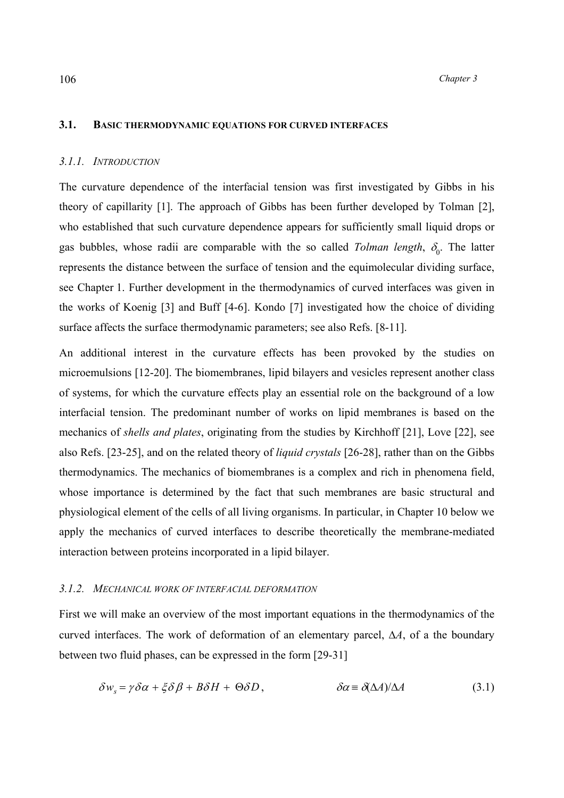### **3.1. BASIC THERMODYNAMIC EQUATIONS FOR CURVED INTERFACES**

#### *3.1.1. INTRODUCTION*

The curvature dependence of the interfacial tension was first investigated by Gibbs in his theory of capillarity [1]. The approach of Gibbs has been further developed by Tolman [2], who established that such curvature dependence appears for sufficiently small liquid drops or gas bubbles, whose radii are comparable with the so called *Tolman length*,  $\delta_0$ . The latter represents the distance between the surface of tension and the equimolecular dividing surface, see Chapter 1. Further development in the thermodynamics of curved interfaces was given in the works of Koenig [3] and Buff [4-6]. Kondo [7] investigated how the choice of dividing surface affects the surface thermodynamic parameters; see also Refs. [8-11].

An additional interest in the curvature effects has been provoked by the studies on microemulsions [12-20]. The biomembranes, lipid bilayers and vesicles represent another class of systems, for which the curvature effects play an essential role on the background of a low interfacial tension. The predominant number of works on lipid membranes is based on the mechanics of *shells and plates*, originating from the studies by Kirchhoff [21], Love [22], see also Refs. [23-25], and on the related theory of *liquid crystals* [26-28], rather than on the Gibbs thermodynamics. The mechanics of biomembranes is a complex and rich in phenomena field, whose importance is determined by the fact that such membranes are basic structural and physiological element of the cells of all living organisms. In particular, in Chapter 10 below we apply the mechanics of curved interfaces to describe theoretically the membrane-mediated interaction between proteins incorporated in a lipid bilayer.

### *3.1.2. MECHANICAL WORK OF INTERFACIAL DEFORMATION*

First we will make an overview of the most important equations in the thermodynamics of the curved interfaces. The work of deformation of an elementary parcel, ∆*А*, of a the boundary between two fluid phases, can be expressed in the form [29-31]

$$
\delta w_s = \gamma \delta \alpha + \xi \delta \beta + B \delta H + \Theta \delta D, \qquad \delta \alpha = \delta (\Delta A) / \Delta A \qquad (3.1)
$$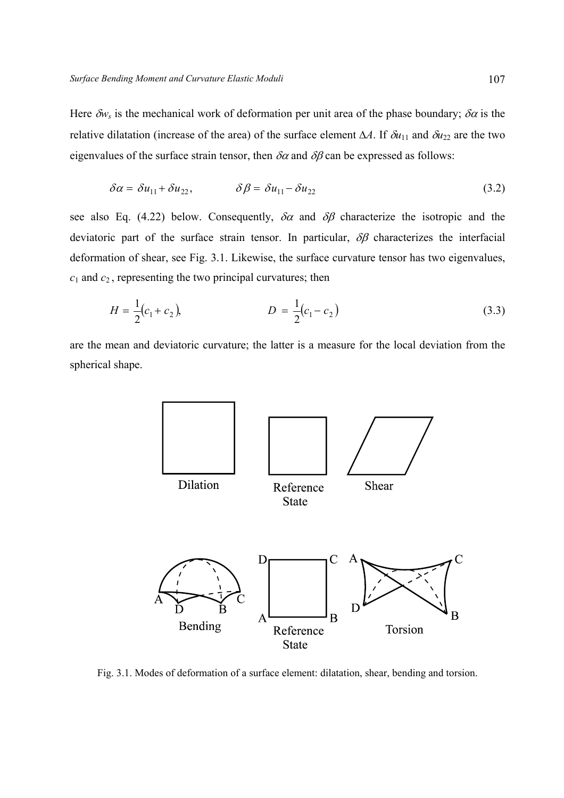Here  $\delta w_s$  is the mechanical work of deformation per unit area of the phase boundary;  $\delta \alpha$  is the relative dilatation (increase of the area) of the surface element  $\Delta A$ . If  $\delta u_{11}$  and  $\delta u_{22}$  are the two eigenvalues of the surface strain tensor, then  $\delta \alpha$  and  $\delta \beta$  can be expressed as follows:

$$
\delta \alpha = \delta u_{11} + \delta u_{22}, \qquad \delta \beta = \delta u_{11} - \delta u_{22} \qquad (3.2)
$$

see also Eq. (4.22) below. Consequently,  $\delta \alpha$  and  $\delta \beta$  characterize the isotropic and the deviatoric part of the surface strain tensor. In particular,  $\delta\beta$  characterizes the interfacial deformation of shear, see Fig. 3.1. Likewise, the surface curvature tensor has two eigenvalues, *с*1 and *с*2 , representing the two principal curvatures; then

$$
H = \frac{1}{2}(c_1 + c_2), \qquad D = \frac{1}{2}(c_1 - c_2) \tag{3.3}
$$

are the mean and deviatoric curvature; the latter is a measure for the local deviation from the spherical shape.



Fig. 3.1. Modes of deformation of a surface element: dilatation, shear, bending and torsion.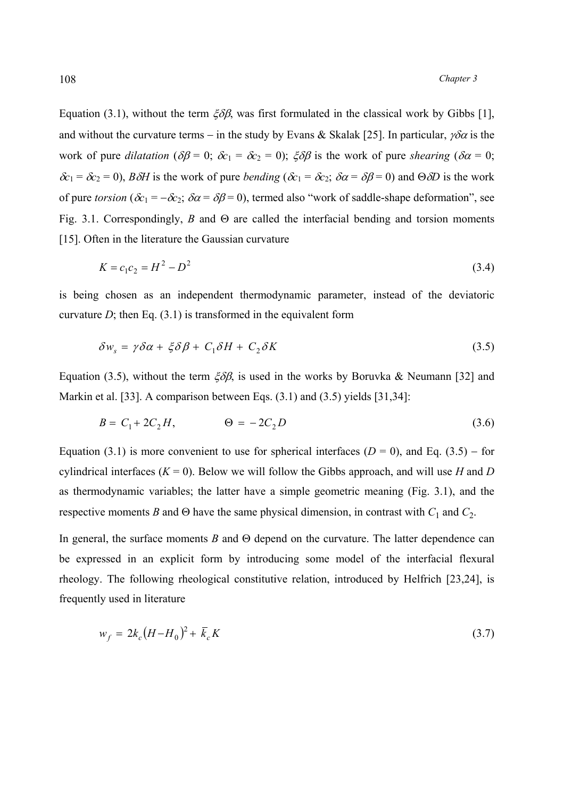Equation (3.1), without the term  $\xi \delta \beta$ , was first formulated in the classical work by Gibbs [1], and without the curvature terms – in the study by Evans & Skalak [25]. In particular,  $\gamma \delta \alpha$  is the work of pure *dilatation* ( $\delta\beta = 0$ ;  $\delta c_1 = \delta c_2 = 0$ );  $\xi \delta\beta$  is the work of pure *shearing* ( $\delta\alpha = 0$ ; <sup>δ</sup>*с*1 = δ*с*<sup>2</sup> = 0), *В*δ*Н* is the work of pure *bending* (δ*с*1 = δ*с*2; δα = δβ = 0) and Θδ*D* is the work of pure *torsion* ( $\delta c_1 = -\delta c_2$ ;  $\delta \alpha = \delta \beta = 0$ ), termed also "work of saddle-shape deformation", see Fig. 3.1. Correspondingly, *В* and Θ are called the interfacial bending and torsion moments [15]. Often in the literature the Gaussian curvature

$$
K = c_1 c_2 = H^2 - D^2 \tag{3.4}
$$

is being chosen as an independent thermodynamic parameter, instead of the deviatoric curvature  $D$ ; then Eq. (3.1) is transformed in the equivalent form

$$
\delta w_s = \gamma \delta \alpha + \xi \delta \beta + C_1 \delta H + C_2 \delta K \tag{3.5}
$$

Equation (3.5), without the term  $\zeta \delta \beta$ , is used in the works by Boruvka & Neumann [32] and Markin et al. [33]. A comparison between Eqs. (3.1) and (3.5) yields [31,34]:

$$
B = C_1 + 2C_2H, \qquad \Theta = -2C_2D \tag{3.6}
$$

Equation (3.1) is more convenient to use for spherical interfaces ( $D = 0$ ), and Eq. (3.5) – for cylindrical interfaces  $(K = 0)$ . Below we will follow the Gibbs approach, and will use *H* and *D* as thermodynamic variables; the latter have a simple geometric meaning (Fig. 3.1), and the respective moments *B* and  $\Theta$  have the same physical dimension, in contrast with  $C_1$  and  $C_2$ .

In general, the surface moments *В* and Θ depend on the curvature. The latter dependence can be expressed in an explicit form by introducing some model of the interfacial flexural rheology. The following rheological constitutive relation, introduced by Helfrich [23,24], is frequently used in literature

$$
w_f = 2k_c(H - H_0)^2 + \bar{k}_c K \tag{3.7}
$$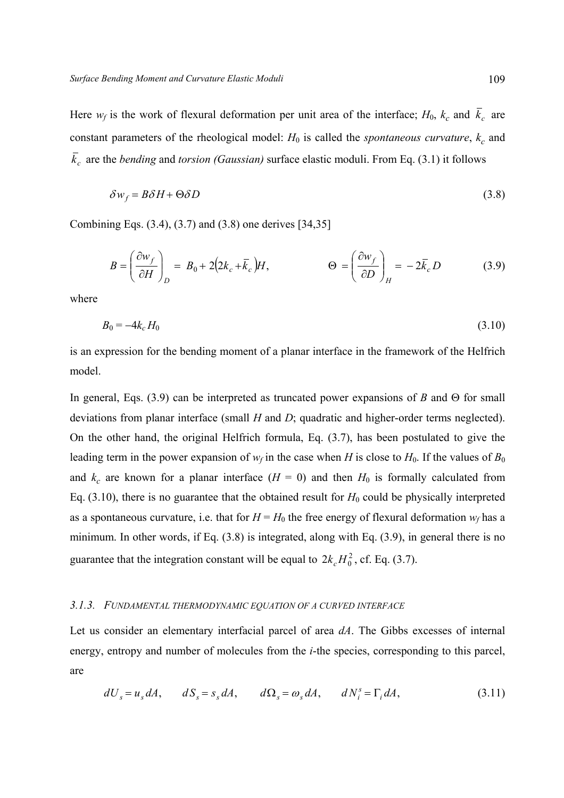Here  $w_f$  is the work of flexural deformation per unit area of the interface;  $H_0$ ,  $k_c$  and  $\bar{k}_c$  are constant parameters of the rheological model:  $H_0$  is called the *spontaneous curvature*,  $k_c$  and  $\bar{k}_c$  are the *bending* and *torsion (Gaussian)* surface elastic moduli. From Eq. (3.1) it follows

$$
\delta w_f = B \delta H + \Theta \delta D \tag{3.8}
$$

Combining Eqs. (3.4), (3.7) and (3.8) one derives [34,35]

$$
B = \left(\frac{\partial w_f}{\partial H}\right)_D = B_0 + 2\left(2k_c + \bar{k}_c\right)H, \qquad \Theta = \left(\frac{\partial w_f}{\partial D}\right)_H = -2\bar{k}_c D \qquad (3.9)
$$

where

$$
B_0 = -4k_c H_0 \tag{3.10}
$$

is an expression for the bending moment of a planar interface in the framework of the Helfrich model.

In general, Eqs. (3.9) can be interpreted as truncated power expansions of *В* and Θ for small deviations from planar interface (small *H* and *D*; quadratic and higher-order terms neglected). On the other hand, the original Helfrich formula, Eq. (3.7), has been postulated to give the leading term in the power expansion of  $w_f$  in the case when *H* is close to  $H_0$ . If the values of  $B_0$ and  $k_c$  are known for a planar interface ( $H = 0$ ) and then  $H_0$  is formally calculated from Eq.  $(3.10)$ , there is no guarantee that the obtained result for  $H_0$  could be physically interpreted as a spontaneous curvature, i.e. that for  $H = H_0$  the free energy of flexural deformation  $w_f$  has a minimum. In other words, if Eq. (3.8) is integrated, along with Eq. (3.9), in general there is no guarantee that the integration constant will be equal to  $2k_c H_0^2$ , cf. Eq. (3.7).

### *3.1.3. FUNDAMENTAL THERMODYNAMIC EQUATION OF A CURVED INTERFACE*

Let us consider an elementary interfacial parcel of area *dA*. The Gibbs excesses of internal energy, entropy and number of molecules from the *i*-the species, corresponding to this parcel, are

$$
dU_s = u_s dA, \qquad dS_s = s_s dA, \qquad d\Omega_s = \omega_s dA, \qquad dN_i^s = \Gamma_i dA, \tag{3.11}
$$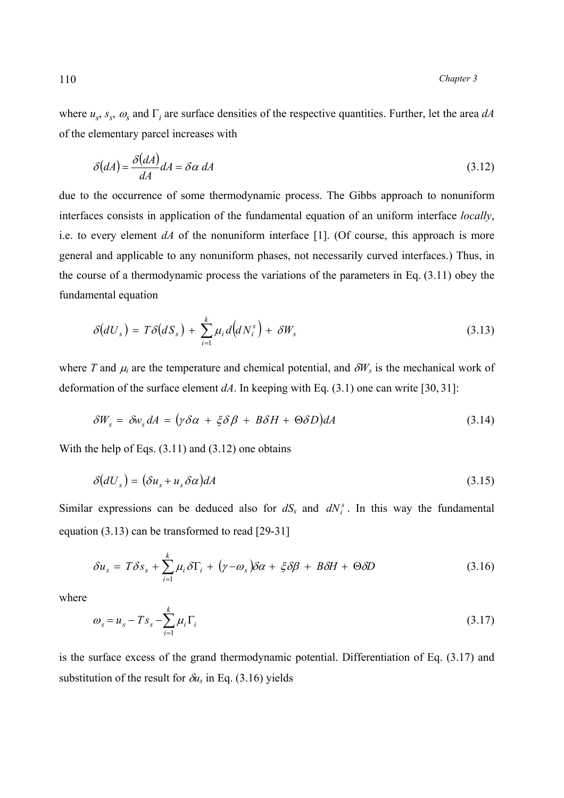where  $u_s$ ,  $s_s$ ,  $\omega_s$  and  $\Gamma_i$  are surface densities of the respective quantities. Further, let the area  $dA$ of the elementary parcel increases with

$$
\delta(dA) = \frac{\delta(dA)}{dA} dA = \delta \alpha \, dA \tag{3.12}
$$

due to the occurrence of some thermodynamic process. The Gibbs approach to nonuniform interfaces consists in application of the fundamental equation of an uniform interface *locally*, i.e. to every element *dA* of the nonuniform interface [1]. (Of course, this approach is more general and applicable to any nonuniform phases, not necessarily curved interfaces.) Thus, in the course of a thermodynamic process the variations of the parameters in Eq. (3.11) obey the fundamental equation

$$
\delta(dU_s) = T\delta(dS_s) + \sum_{i=1}^k \mu_i d\big(dN_i^s\big) + \delta W_s \tag{3.13}
$$

where *T* and  $\mu_i$  are the temperature and chemical potential, and  $\delta W_s$  is the mechanical work of deformation of the surface element  $dA$ . In keeping with Eq. (3.1) one can write [30, 31]:

$$
\delta W_s = \delta w_s dA = (\gamma \delta \alpha + \xi \delta \beta + B \delta H + \Theta \delta D) dA \qquad (3.14)
$$

With the help of Eqs.  $(3.11)$  and  $(3.12)$  one obtains

$$
\delta(dU_s) = (\delta u_s + u_s \delta \alpha) dA \tag{3.15}
$$

Similar expressions can be deduced also for  $dS<sub>s</sub>$  and  $dN<sub>i</sub><sup>s</sup>$ . In this way the fundamental equation (3.13) can be transformed to read [29-31]

$$
\delta u_s = T \delta s_s + \sum_{i=1}^k \mu_i \delta \Gamma_i + (\gamma - \omega_s) \delta \alpha + \xi \delta \beta + B \delta H + \Theta \delta D \tag{3.16}
$$

where

$$
\omega_s = u_s - Ts_s - \sum_{i=1}^k \mu_i \Gamma_i \tag{3.17}
$$

is the surface excess of the grand thermodynamic potential. Differentiation of Eq. (3.17) and substitution of the result for  $\delta u_s$  in Eq. (3.16) yields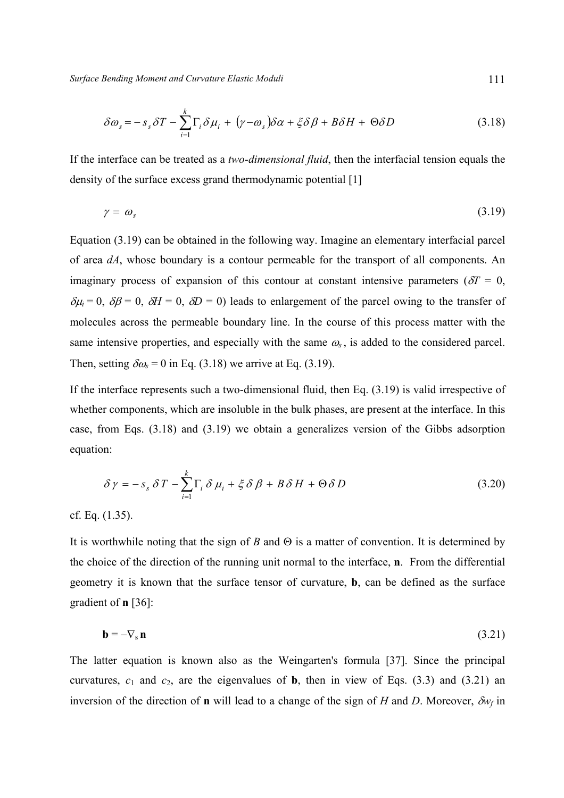*Surface Bending Moment and Curvature Elastic Moduli* 111

$$
\delta \omega_s = -s_s \delta T - \sum_{i=1}^k \Gamma_i \delta \mu_i + (\gamma - \omega_s) \delta \alpha + \xi \delta \beta + B \delta H + \Theta \delta D \tag{3.18}
$$

If the interface can be treated as a *two-dimensional fluid*, then the interfacial tension equals the density of the surface excess grand thermodynamic potential [1]

$$
\gamma = \omega_s \tag{3.19}
$$

Equation (3.19) can be obtained in the following way. Imagine an elementary interfacial parcel of area *dA*, whose boundary is a contour permeable for the transport of all components. An imaginary process of expansion of this contour at constant intensive parameters ( $\delta T = 0$ ,  $\delta \mu_i = 0$ ,  $\delta \beta = 0$ ,  $\delta H = 0$ ,  $\delta D = 0$ ) leads to enlargement of the parcel owing to the transfer of molecules across the permeable boundary line. In the course of this process matter with the same intensive properties, and especially with the same  $\omega_s$ , is added to the considered parcel. Then, setting  $\delta \omega_s = 0$  in Eq. (3.18) we arrive at Eq. (3.19).

If the interface represents such a two-dimensional fluid, then Eq. (3.19) is valid irrespective of whether components, which are insoluble in the bulk phases, are present at the interface. In this case, from Eqs. (3.18) and (3.19) we obtain a generalizes version of the Gibbs adsorption equation:

$$
\delta \gamma = -s_s \delta T - \sum_{i=1}^{k} \Gamma_i \delta \mu_i + \xi \delta \beta + B \delta H + \Theta \delta D \qquad (3.20)
$$

cf. Eq. (1.35).

It is worthwhile noting that the sign of *В* and Θ is a matter of convention. It is determined by the choice of the direction of the running unit normal to the interface, **n**. From the differential geometry it is known that the surface tensor of curvature, **b**, can be defined as the surface gradient of **n** [36]:

$$
\mathbf{b} = -\nabla_{\mathbf{s}} \mathbf{n} \tag{3.21}
$$

The latter equation is known also as the Weingarten's formula [37]. Since the principal curvatures,  $c_1$  and  $c_2$ , are the eigenvalues of **b**, then in view of Eqs. (3.3) and (3.21) an inversion of the direction of **n** will lead to a change of the sign of *H* and *D*. Moreover,  $\delta w_f$  in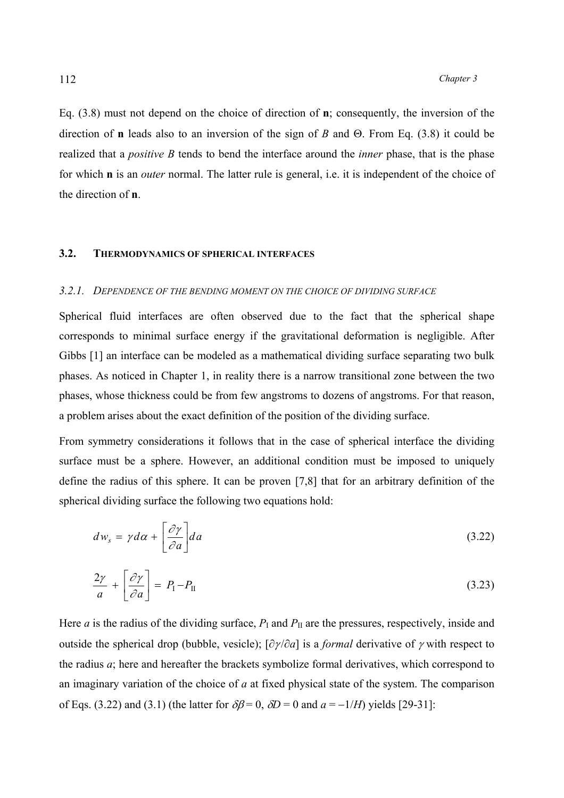Eq. (3.8) must not depend on the choice of direction of **n**; consequently, the inversion of the direction of **n** leads also to an inversion of the sign of *В* and Θ. From Eq. (3.8) it could be realized that a *positive В* tends to bend the interface around the *inner* phase, that is the phase for which **n** is an *outer* normal. The latter rule is general, i.e. it is independent of the choice of the direction of **n**.

### **3.2. THERMODYNAMICS OF SPHERICAL INTERFACES**

#### *3.2.1. DEPENDENCE OF THE BENDING MOMENT ON THE CHOICE OF DIVIDING SURFACE*

Spherical fluid interfaces are often observed due to the fact that the spherical shape corresponds to minimal surface energy if the gravitational deformation is negligible. After Gibbs [1] an interface can be modeled as a mathematical dividing surface separating two bulk phases. As noticed in Chapter 1, in reality there is a narrow transitional zone between the two phases, whose thickness could be from few angstroms to dozens of angstroms. For that reason, a problem arises about the exact definition of the position of the dividing surface.

From symmetry considerations it follows that in the case of spherical interface the dividing surface must be a sphere. However, an additional condition must be imposed to uniquely define the radius of this sphere. It can be proven [7,8] that for an arbitrary definition of the spherical dividing surface the following two equations hold:

$$
dw_s = \gamma d\alpha + \left[\frac{\partial \gamma}{\partial a}\right] da \tag{3.22}
$$

$$
\frac{2\gamma}{a} + \left[\frac{\partial\gamma}{\partial a}\right] = P_{\rm I} - P_{\rm II} \tag{3.23}
$$

Here *a* is the radius of the dividing surface,  $P<sub>I</sub>$  and  $P<sub>II</sub>$  are the pressures, respectively, inside and outside the spherical drop (bubble, vesicle); [∂<sup>γ</sup> /∂*a*] is a *formal* derivative of γ with respect to the radius *а*; here and hereafter the brackets symbolize formal derivatives, which correspond to an imaginary variation of the choice of *а* at fixed physical state of the system. The comparison of Eqs. (3.22) and (3.1) (the latter for  $\delta\beta = 0$ ,  $\delta D = 0$  and  $a = -1/H$ ) yields [29-31]: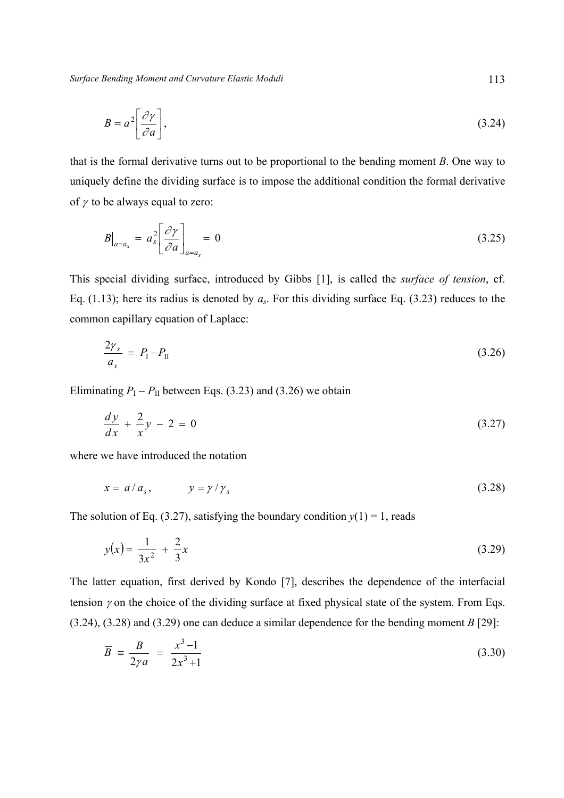*Surface Bending Moment and Curvature Elastic Moduli* 113

$$
B = a^2 \left[ \frac{\partial \gamma}{\partial a} \right],\tag{3.24}
$$

that is the formal derivative turns out to be proportional to the bending moment *В*. One way to uniquely define the dividing surface is to impose the additional condition the formal derivative of  $\gamma$  to be always equal to zero:

$$
B\big|_{a=a_s} = a_s^2 \left[ \frac{\partial \gamma}{\partial a} \right]_{a=a_s} = 0 \tag{3.25}
$$

This special dividing surface, introduced by Gibbs [1], is called the *surface of tension*, cf. Eq. (1.13); here its radius is denoted by *as*. For this dividing surface Eq. (3.23) reduces to the common capillary equation of Laplace:

$$
\frac{2\gamma_s}{a_s} = P_{\rm I} - P_{\rm II} \tag{3.26}
$$

Eliminating  $P_I - P_{II}$  between Eqs. (3.23) and (3.26) we obtain

$$
\frac{dy}{dx} + \frac{2}{x}y - 2 = 0
$$
\n(3.27)

where we have introduced the notation

$$
x = a/a_s, \qquad y = \gamma/\gamma_s \tag{3.28}
$$

The solution of Eq. (3.27), satisfying the boundary condition  $y(1) = 1$ , reads

$$
y(x) = \frac{1}{3x^2} + \frac{2}{3}x\tag{3.29}
$$

The latter equation, first derived by Kondo [7], describes the dependence of the interfacial tension  $\gamma$  on the choice of the dividing surface at fixed physical state of the system. From Eqs. (3.24), (3.28) and (3.29) one can deduce a similar dependence for the bending moment *В* [29]:

$$
\overline{B} = \frac{B}{2\gamma a} = \frac{x^3 - 1}{2x^3 + 1}
$$
 (3.30)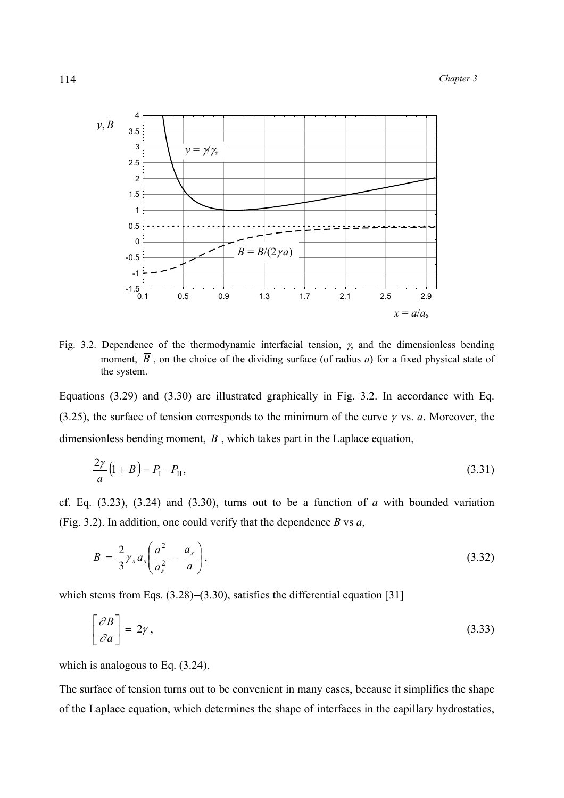

Fig. 3.2. Dependence of the thermodynamic interfacial tension,  $\gamma$ , and the dimensionless bending moment,  $\overline{B}$ , on the choice of the dividing surface (of radius *a*) for a fixed physical state of the system.

Equations (3.29) and (3.30) are illustrated graphically in Fig. 3.2. In accordance with Eq. (3.25), the surface of tension corresponds to the minimum of the curve <sup>γ</sup> vs. *а*. Moreover, the dimensionless bending moment,  $\overline{B}$ , which takes part in the Laplace equation,

$$
\frac{2\gamma}{a}\left(1+\overline{B}\right) = P_{\rm I} - P_{\rm II},\tag{3.31}
$$

cf. Eq. (3.23), (3.24) and (3.30), turns out to be a function of *a* with bounded variation (Fig. 3.2). In addition, one could verify that the dependence *В* vs *а*,

$$
B = \frac{2}{3} \gamma_s a_s \left( \frac{a^2}{a_s^2} - \frac{a_s}{a} \right),\tag{3.32}
$$

which stems from Eqs. (3.28)–(3.30), satisfies the differential equation [31]

$$
\left[\frac{\partial B}{\partial a}\right] = 2\gamma\,,\tag{3.33}
$$

which is analogous to Eq. (3.24).

The surface of tension turns out to be convenient in many cases, because it simplifies the shape of the Laplace equation, which determines the shape of interfaces in the capillary hydrostatics,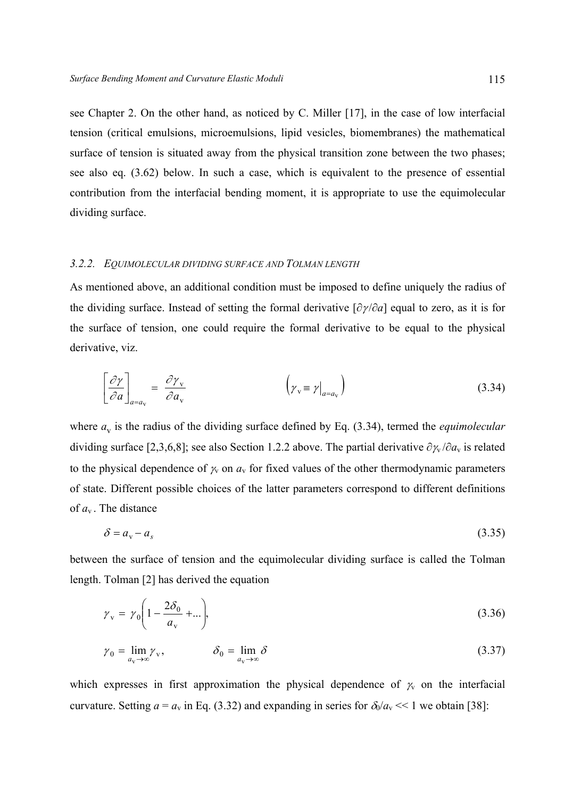see Chapter 2. On the other hand, as noticed by C. Miller [17], in the case of low interfacial tension (critical emulsions, microemulsions, lipid vesicles, biomembranes) the mathematical surface of tension is situated away from the physical transition zone between the two phases; see also eq. (3.62) below. In such a case, which is equivalent to the presence of essential contribution from the interfacial bending moment, it is appropriate to use the equimolecular dividing surface.

### *3.2.2. EQUIMOLECULAR DIVIDING SURFACE AND TOLMAN LENGTH*

As mentioned above, an additional condition must be imposed to define uniquely the radius of the dividing surface. Instead of setting the formal derivative [∂<sup>γ</sup> /∂*a*] equal to zero, as it is for the surface of tension, one could require the formal derivative to be equal to the physical derivative, viz.

$$
\left[\frac{\partial \gamma}{\partial a}\right]_{a=a_{\rm v}} = \frac{\partial \gamma_{\rm v}}{\partial a_{\rm v}} \qquad \left(\gamma_{\rm v} \equiv \gamma\Big|_{a=a_{\rm v}}\right) \qquad (3.34)
$$

where  $a_v$  is the radius of the dividing surface defined by Eq. (3.34), termed the *equimolecular* dividing surface [2,3,6,8]; see also Section 1.2.2 above. The partial derivative  $\partial \gamma_v / \partial a_v$  is related to the physical dependence of  $\gamma_v$  on  $a_v$  for fixed values of the other thermodynamic parameters of state. Different possible choices of the latter parameters correspond to different definitions of *a*v . The distance

$$
\delta = a_{\rm v} - a_{\rm s} \tag{3.35}
$$

between the surface of tension and the equimolecular dividing surface is called the Tolman length. Tolman [2] has derived the equation

$$
\gamma_{\rm v} = \gamma_0 \left( 1 - \frac{2\delta_0}{a_{\rm v}} + \ldots \right),\tag{3.36}
$$

$$
\gamma_0 = \lim_{a_v \to \infty} \gamma_v, \qquad \delta_0 = \lim_{a_v \to \infty} \delta \tag{3.37}
$$

which expresses in first approximation the physical dependence of  $\gamma$  on the interfacial curvature. Setting  $a = a_v$  in Eq. (3.32) and expanding in series for  $\delta_0/a_v \ll 1$  we obtain [38]: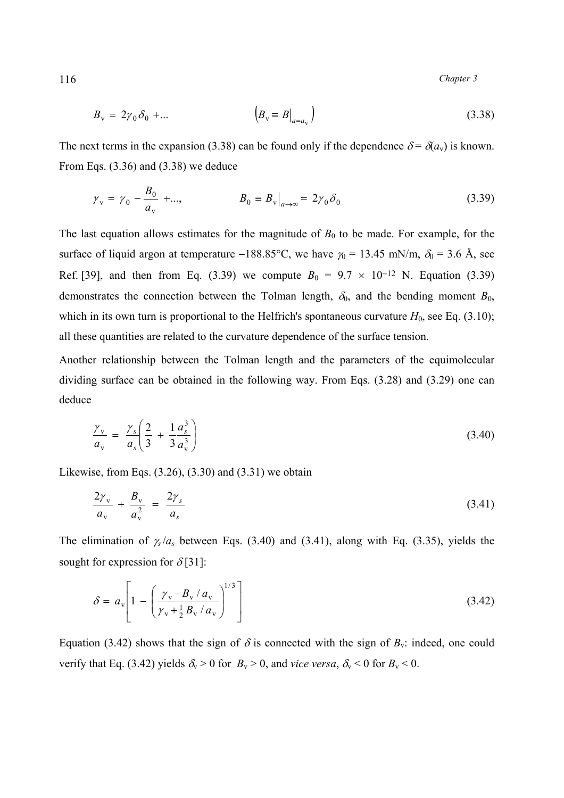$$
B_{\mathbf{v}} = 2\gamma_0 \delta_0 + \dots \qquad \left| B_{\mathbf{v}} \equiv B \big|_{a = a_{\mathbf{v}}} \right) \tag{3.38}
$$

The next terms in the expansion (3.38) can be found only if the dependence  $\delta = \delta(a_v)$  is known. From Eqs. (3.36) and (3.38) we deduce

$$
\gamma_{\rm v} = \gamma_0 - \frac{B_0}{a_{\rm v}} + ..., \qquad B_0 = B_{\rm v}|_{a \to \infty} = 2\gamma_0 \delta_0
$$
\n(3.39)

The last equation allows estimates for the magnitude of  $B_0$  to be made. For example, for the surface of liquid argon at temperature −188.85°C, we have  $\gamma_0 = 13.45$  mN/m,  $\delta_0 = 3.6$  Å, see Ref. [39], and then from Eq. (3.39) we compute  $B_0 = 9.7 \times 10^{-12}$  N. Equation (3.39) demonstrates the connection between the Tolman length,  $\delta_0$ , and the bending moment  $B_0$ , which in its own turn is proportional to the Helfrich's spontaneous curvature  $H_0$ , see Eq. (3.10); all these quantities are related to the curvature dependence of the surface tension.

Another relationship between the Tolman length and the parameters of the equimolecular dividing surface can be obtained in the following way. From Eqs. (3.28) and (3.29) one can deduce

$$
\frac{\gamma_{\rm v}}{a_{\rm v}} = \frac{\gamma_s}{a_s} \left( \frac{2}{3} + \frac{1}{3} \frac{a_s^3}{a_{\rm v}^3} \right) \tag{3.40}
$$

Likewise, from Eqs.  $(3.26)$ ,  $(3.30)$  and  $(3.31)$  we obtain

$$
\frac{2\gamma_{\rm v}}{a_{\rm v}} + \frac{B_{\rm v}}{a_{\rm v}^2} = \frac{2\gamma_{\rm s}}{a_{\rm s}} \tag{3.41}
$$

The elimination of <sup>γ</sup>*<sup>s</sup>* /*as* between Eqs. (3.40) and (3.41), along with Eq. (3.35), yields the sought for expression for  $\delta$ [31]:

$$
\delta = a_{\rm v} \left[ 1 - \left( \frac{\gamma_{\rm v} - B_{\rm v} / a_{\rm v}}{\gamma_{\rm v} + \frac{1}{2} B_{\rm v} / a_{\rm v}} \right)^{1/3} \right]
$$
(3.42)

Equation (3.42) shows that the sign of  $\delta$  is connected with the sign of  $B_v$ : indeed, one could verify that Eq. (3.42) yields  $\delta_v > 0$  for  $B_v > 0$ , and *vice versa*,  $\delta_v < 0$  for  $B_v < 0$ .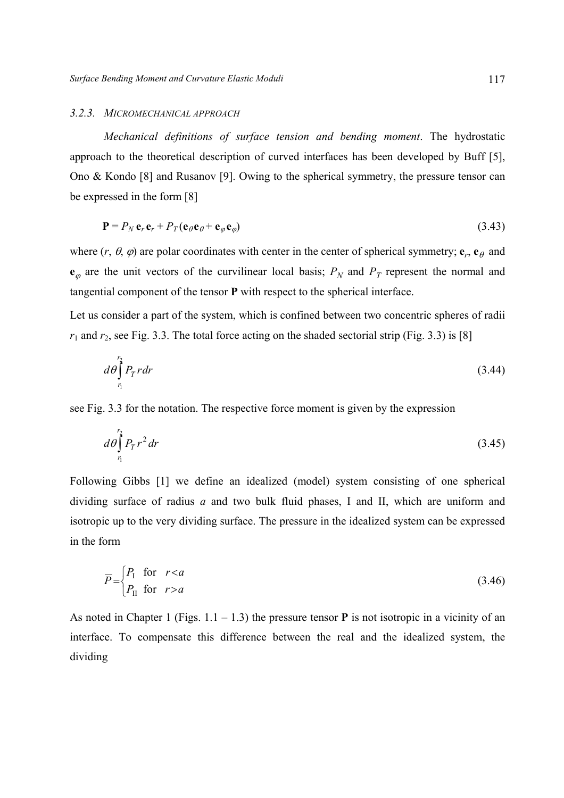#### *3.2.3. MICROMECHANICAL APPROACH*

 *Mechanical definitions of surface tension and bending moment*. The hydrostatic approach to the theoretical description of curved interfaces has been developed by Buff [5], Ono & Kondo [8] and Rusanov [9]. Owing to the spherical symmetry, the pressure tensor can be expressed in the form [8]

$$
\mathbf{P} = P_N \mathbf{e}_r \mathbf{e}_r + P_T (\mathbf{e}_\theta \mathbf{e}_\theta + \mathbf{e}_\phi \mathbf{e}_\phi) \tag{3.43}
$$

where  $(r, \theta, \varphi)$  are polar coordinates with center in the center of spherical symmetry;  $\mathbf{e}_r$ ,  $\mathbf{e}_\theta$  and  $e_{\varphi}$  are the unit vectors of the curvilinear local basis;  $P_N$  and  $P_T$  represent the normal and tangential component of the tensor **Р** with respect to the spherical interface.

Let us consider a part of the system, which is confined between two concentric spheres of radii  $r_1$  and  $r_2$ , see Fig. 3.3. The total force acting on the shaded sectorial strip (Fig. 3.3) is [8]

$$
d\theta \int_{r_1}^{r_2} P_T r dr \tag{3.44}
$$

see Fig. 3.3 for the notation. The respective force moment is given by the expression

$$
d\theta \int_{r_1}^{r_2} P_T r^2 dr \tag{3.45}
$$

Following Gibbs [1] we define an idealized (model) system consisting of one spherical dividing surface of radius *a* and two bulk fluid phases, I and II, which are uniform and isotropic up to the very dividing surface. The pressure in the idealized system can be expressed in the form

$$
\overline{P} = \begin{cases} P_1 & \text{for } r < a \\ P_{II} & \text{for } r > a \end{cases} \tag{3.46}
$$

As noted in Chapter 1 (Figs. 1.1 – 1.3) the pressure tensor **Р** is not isotropic in a vicinity of an interface. To compensate this difference between the real and the idealized system, the dividing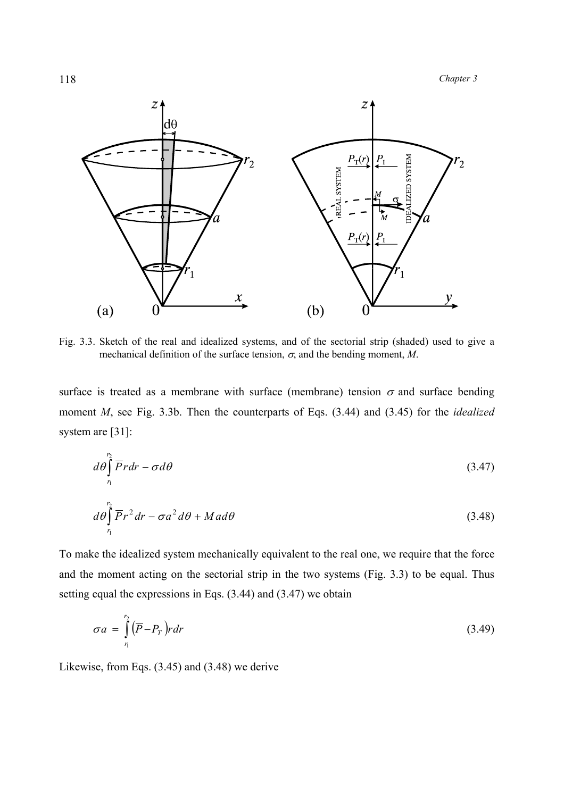

Fig. 3.3. Sketch of the real and idealized systems, and of the sectorial strip (shaded) used to give a mechanical definition of the surface tension,  $\sigma$ , and the bending moment, *M*.

surface is treated as a membrane with surface (membrane) tension  $\sigma$  and surface bending moment *M*, see Fig. 3.3b. Then the counterparts of Eqs. (3.44) and (3.45) for the *idealized*  system are [31]:

$$
d\theta \int_{r_1}^{r_2} \overline{P} r dr - \sigma d\theta \tag{3.47}
$$

$$
d\theta \int_{r_1}^{r_2} \overline{P} r^2 dr - \sigma a^2 d\theta + M a d\theta \tag{3.48}
$$

To make the idealized system mechanically equivalent to the real one, we require that the force and the moment acting on the sectorial strip in the two systems (Fig. 3.3) to be equal. Thus setting equal the expressions in Eqs. (3.44) and (3.47) we obtain

$$
\sigma a = \int_{r_1}^{r_2} (\overline{P} - P_T) r dr \tag{3.49}
$$

Likewise, from Eqs. (3.45) and (3.48) we derive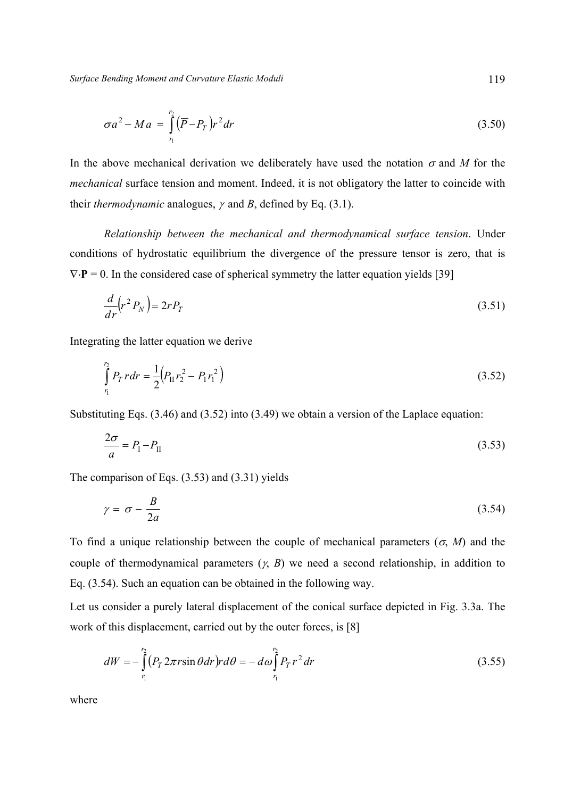$$
\sigma a^2 - Ma = \int_{r_1}^{r_2} (\overline{P} - P_T) r^2 dr \tag{3.50}
$$

In the above mechanical derivation we deliberately have used the notation  $\sigma$  and M for the *mechanical* surface tension and moment. Indeed, it is not obligatory the latter to coincide with their *thermodynamic* analogues, <sup>γ</sup> and *В*, defined by Eq. (3.1).

 *Relationship between the mechanical and thermodynamical surface tension*. Under conditions of hydrostatic equilibrium the divergence of the pressure tensor is zero, that is  $\nabla \cdot \mathbf{P} = 0$ . In the considered case of spherical symmetry the latter equation yields [39]

$$
\frac{d}{dr}\left(r^2P_N\right) = 2rP_T\tag{3.51}
$$

Integrating the latter equation we derive

$$
\int_{r_1}^{r_2} P_T r dr = \frac{1}{2} \Big( P_{\rm II} r_2^2 - P_{\rm I} r_1^2 \Big) \tag{3.52}
$$

Substituting Eqs. (3.46) and (3.52) into (3.49) we obtain a version of the Laplace equation:

$$
\frac{2\sigma}{a} = P_{\rm I} - P_{\rm II} \tag{3.53}
$$

The comparison of Eqs. (3.53) and (3.31) yields

$$
\gamma = \sigma - \frac{B}{2a} \tag{3.54}
$$

To find a unique relationship between the couple of mechanical parameters ( $\sigma$ , *M*) and the couple of thermodynamical parameters (γ, *В*) we need a second relationship, in addition to Eq. (3.54). Such an equation can be obtained in the following way.

Let us consider a purely lateral displacement of the conical surface depicted in Fig. 3.3a. The work of this displacement, carried out by the outer forces, is [8]

$$
dW = -\int_{r_1}^{r_2} (P_T 2\pi r \sin \theta dr) r d\theta = -d\omega \int_{r_1}^{r_2} P_T r^2 dr \qquad (3.55)
$$

where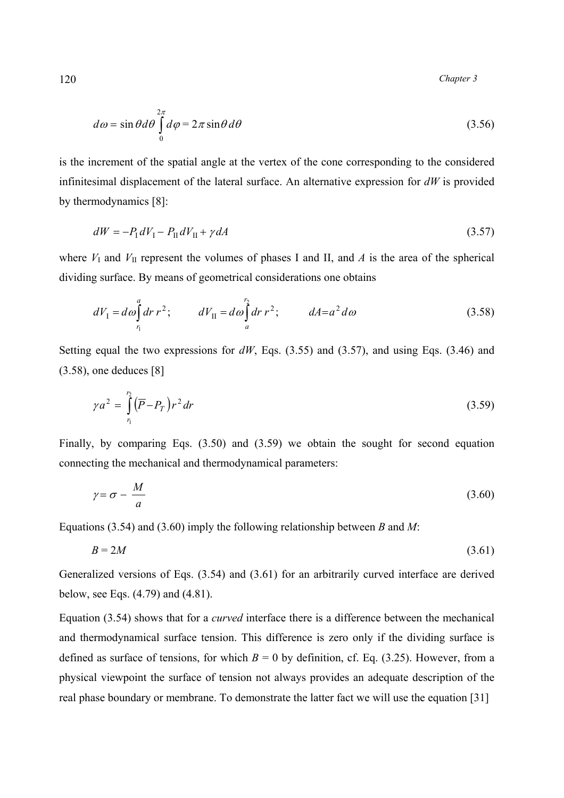$$
d\omega = \sin\theta d\theta \int_{0}^{2\pi} d\varphi = 2\pi \sin\theta d\theta \qquad (3.56)
$$

is the increment of the spatial angle at the vertex of the cone corresponding to the considered infinitesimal displacement of the lateral surface. An alternative expression for *dW* is provided by thermodynamics [8]:

$$
dW = -P_{\rm I} dV_{\rm I} - P_{\rm II} dV_{\rm II} + \gamma dA \tag{3.57}
$$

where  $V_I$  and  $V_{II}$  represent the volumes of phases I and II, and A is the area of the spherical dividing surface. By means of geometrical considerations one obtains

$$
dV_1 = d\omega \int_{r_1}^a dr \ r^2; \qquad dV_{II} = d\omega \int_a^{r_2} dr \ r^2; \qquad dA = a^2 d\omega \tag{3.58}
$$

Setting equal the two expressions for  $dW$ , Eqs. (3.55) and (3.57), and using Eqs. (3.46) and (3.58), one deduces [8]

$$
\gamma a^2 = \int_{r_1}^{r_2} (\overline{P} - P_T) r^2 dr \tag{3.59}
$$

Finally, by comparing Eqs. (3.50) and (3.59) we obtain the sought for second equation connecting the mechanical and thermodynamical parameters:

$$
\gamma = \sigma - \frac{M}{a} \tag{3.60}
$$

Equations (3.54) and (3.60) imply the following relationship between *В* and *М*:

$$
B = 2M \tag{3.61}
$$

Generalized versions of Eqs. (3.54) and (3.61) for an arbitrarily curved interface are derived below, see Eqs. (4.79) and (4.81).

Equation (3.54) shows that for a *curved* interface there is a difference between the mechanical and thermodynamical surface tension. This difference is zero only if the dividing surface is defined as surface of tensions, for which  $B = 0$  by definition, cf. Eq. (3.25). However, from a physical viewpoint the surface of tension not always provides an adequate description of the real phase boundary or membrane. To demonstrate the latter fact we will use the equation [31]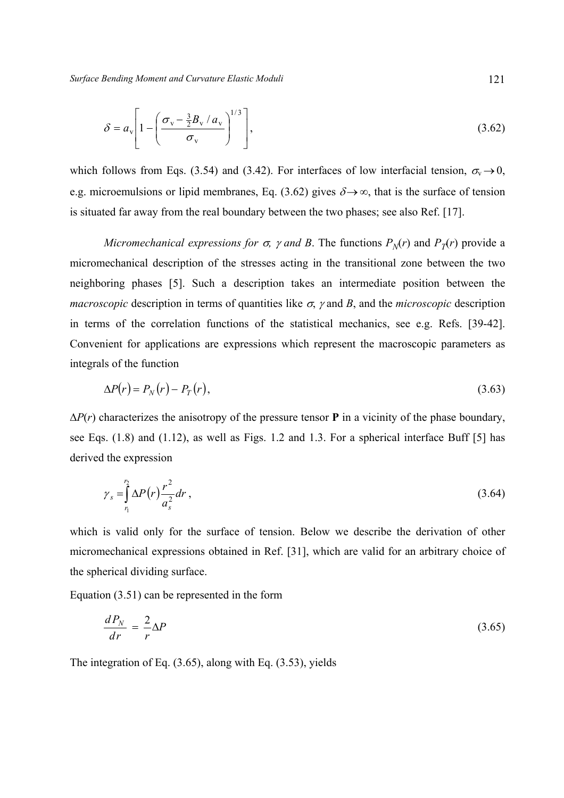*Surface Bending Moment and Curvature Elastic Moduli* 121

$$
\delta = a_{\rm v} \left[ 1 - \left( \frac{\sigma_{\rm v} - \frac{3}{2} B_{\rm v} / a_{\rm v}}{\sigma_{\rm v}} \right)^{1/3} \right],\tag{3.62}
$$

which follows from Eqs. (3.54) and (3.42). For interfaces of low interfacial tension,  $\sigma_v \rightarrow 0$ , e.g. microemulsions or lipid membranes, Eq. (3.62) gives  $\delta \rightarrow \infty$ , that is the surface of tension is situated far away from the real boundary between the two phases; see also Ref. [17].

*Micromechanical expressions for*  $\sigma$ *,*  $\gamma$  *and*  $B$ *. The functions*  $P_N(r)$  *and*  $P_T(r)$  *provide a* micromechanical description of the stresses acting in the transitional zone between the two neighboring phases [5]. Such a description takes an intermediate position between the *macroscopic* description in terms of quantities like  $\sigma$ ,  $\gamma$  and  $B$ , and the *microscopic* description in terms of the correlation functions of the statistical mechanics, see e.g. Refs. [39-42]. Convenient for applications are expressions which represent the macroscopic parameters as integrals of the function

$$
\Delta P(r) = P_N(r) - P_T(r),\tag{3.63}
$$

∆*P*(*r*) characterizes the anisotropy of the pressure tensor **P** in a vicinity of the phase boundary, see Eqs. (1.8) and (1.12), as well as Figs. 1.2 and 1.3. For a spherical interface Buff [5] has derived the expression

$$
\gamma_s = \int_{r_1}^{r_2} \Delta P(r) \frac{r^2}{a_s^2} dr \,, \tag{3.64}
$$

which is valid only for the surface of tension. Below we describe the derivation of other micromechanical expressions obtained in Ref. [31], which are valid for an arbitrary choice of the spherical dividing surface.

Equation (3.51) can be represented in the form

$$
\frac{dP_N}{dr} = \frac{2}{r} \Delta P \tag{3.65}
$$

The integration of Eq. (3.65), along with Eq. (3.53), yields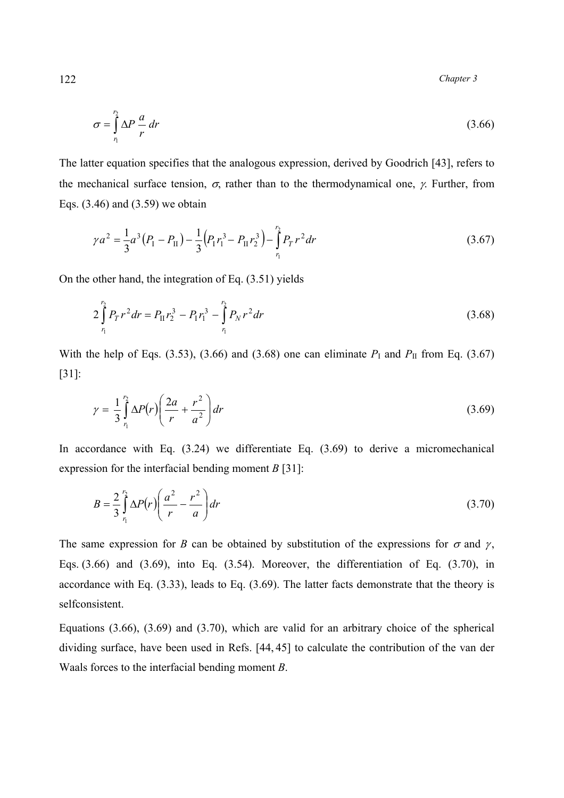$$
\sigma = \int_{r_1}^{r_2} \Delta P \frac{a}{r} dr \tag{3.66}
$$

The latter equation specifies that the analogous expression, derived by Goodrich [43], refers to the mechanical surface tension,  $\sigma$ , rather than to the thermodynamical one,  $\gamma$ . Further, from Eqs. (3.46) and (3.59) we obtain

$$
\gamma a^2 = \frac{1}{3}a^3(P_1 - P_{II}) - \frac{1}{3}(P_1 r_1^3 - P_{II} r_2^3) - \int_{r_1}^{r_2} P_T r^2 dr \tag{3.67}
$$

On the other hand, the integration of Eq. (3.51) yields

$$
2\int_{r_1}^{r_2} P_T r^2 dr = P_{II} r_2^3 - P_I r_1^3 - \int_{r_1}^{r_2} P_N r^2 dr \qquad (3.68)
$$

With the help of Eqs. (3.53), (3.66) and (3.68) one can eliminate  $P<sub>I</sub>$  and  $P<sub>II</sub>$  from Eq. (3.67) [31]:

$$
\gamma = \frac{1}{3} \int_{r_1}^{r_2} \Delta P(r) \left( \frac{2a}{r} + \frac{r^2}{a^2} \right) dr \tag{3.69}
$$

In accordance with Eq.  $(3.24)$  we differentiate Eq.  $(3.69)$  to derive a micromechanical expression for the interfacial bending moment *В* [31]:

$$
B = \frac{2}{3} \int_{r_1}^{r_2} \Delta P(r) \left( \frac{a^2}{r} - \frac{r^2}{a} \right) dr \tag{3.70}
$$

The same expression for *B* can be obtained by substitution of the expressions for  $\sigma$  and  $\gamma$ , Eqs. (3.66) and (3.69), into Eq. (3.54). Moreover, the differentiation of Eq. (3.70), in accordance with Eq. (3.33), leads to Eq. (3.69). The latter facts demonstrate that the theory is selfconsistent.

Equations (3.66), (3.69) and (3.70), which are valid for an arbitrary choice of the spherical dividing surface, have been used in Refs. [44, 45] to calculate the contribution of the van der Waals forces to the interfacial bending moment *B*.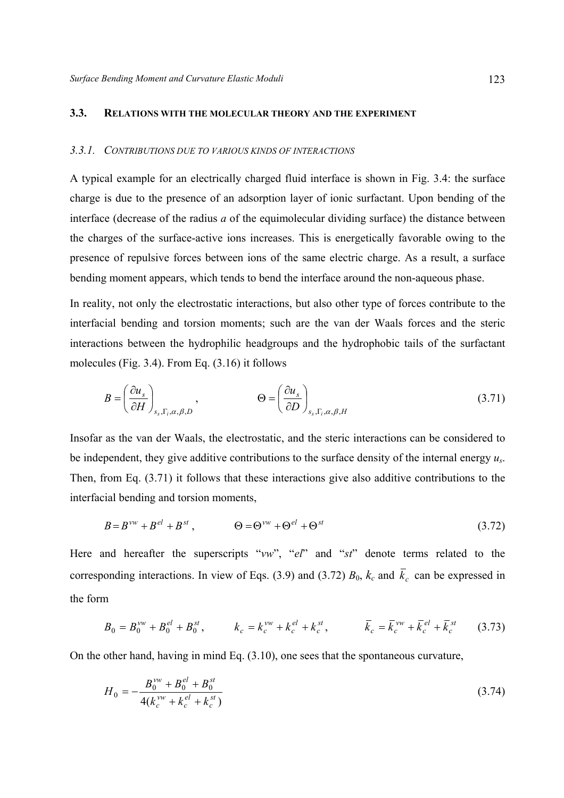## **3.3. RELATIONS WITH THE MOLECULAR THEORY AND THE EXPERIMENT**

### *3.3.1. CONTRIBUTIONS DUE TO VARIOUS KINDS OF INTERACTIONS*

A typical example for an electrically charged fluid interface is shown in Fig. 3.4: the surface charge is due to the presence of an adsorption layer of ionic surfactant. Upon bending of the interface (decrease of the radius *a* of the equimolecular dividing surface) the distance between the charges of the surface-active ions increases. This is energetically favorable owing to the presence of repulsive forces between ions of the same electric charge. As a result, a surface bending moment appears, which tends to bend the interface around the non-aqueous phase.

In reality, not only the electrostatic interactions, but also other type of forces contribute to the interfacial bending and torsion moments; such are the van der Waals forces and the steric interactions between the hydrophilic headgroups and the hydrophobic tails of the surfactant molecules (Fig. 3.4). From Eq. (3.16) it follows

$$
B = \left(\frac{\partial u_s}{\partial H}\right)_{s_s, \Gamma_i, \alpha, \beta, D}, \qquad \Theta = \left(\frac{\partial u_s}{\partial D}\right)_{s_s, \Gamma_i, \alpha, \beta, H}
$$
(3.71)

Insofar as the van der Waals, the electrostatic, and the steric interactions can be considered to be independent, they give additive contributions to the surface density of the internal energy *us*. Then, from Eq. (3.71) it follows that these interactions give also additive contributions to the interfacial bending and torsion moments,

$$
B = Bvw + Bel + Bst, \qquad \Theta = \Thetavw + \Thetael + \Thetast
$$
 (3.72)

Here and hereafter the superscripts "*vw*", "*el*" and "*st*" denote terms related to the corresponding interactions. In view of Eqs. (3.9) and (3.72)  $B_0$ ,  $k_c$  and  $\overline{k}_c$  can be expressed in the form

$$
B_0 = B_0^{vw} + B_0^{el} + B_0^{st}, \qquad k_c = k_c^{vw} + k_c^{el} + k_c^{st}, \qquad \overline{k}_c = \overline{k}_c^{vw} + \overline{k}_c^{el} + \overline{k}_c^{st} \qquad (3.73)
$$

On the other hand, having in mind Eq. (3.10), one sees that the spontaneous curvature,

$$
H_0 = -\frac{B_0^{vw} + B_0^{el} + B_0^{st}}{4(k_c^{vw} + k_c^{el} + k_c^{st})}
$$
(3.74)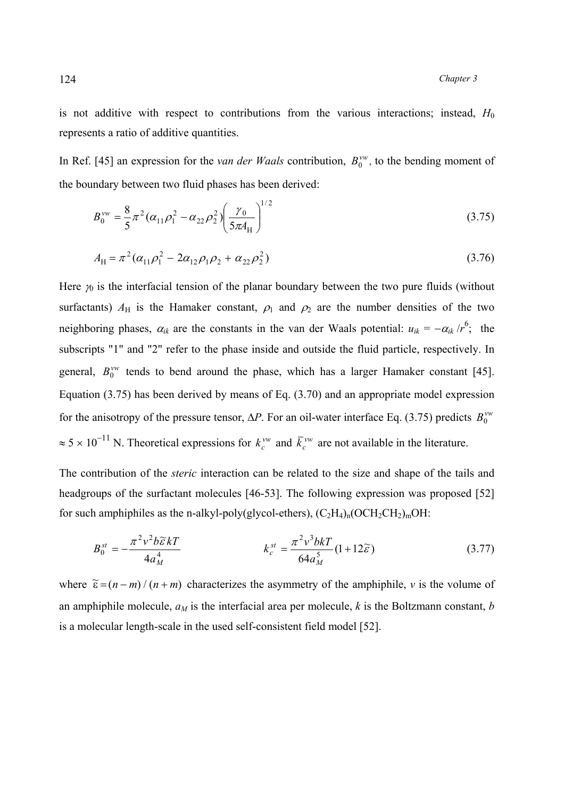is not additive with respect to contributions from the various interactions; instead,  $H_0$ represents a ratio of additive quantities.

In Ref. [45] an expression for the *van der Waals* contribution,  $B_0^{\nu\nu}$ , to the bending moment of the boundary between two fluid phases has been derived:

$$
B_0^{\nu\nu} = \frac{8}{5}\pi^2 (\alpha_{11}\rho_1^2 - \alpha_{22}\rho_2^2) \left(\frac{\gamma_0}{5\pi A_H}\right)^{1/2}
$$
 (3.75)

$$
A_{\rm H} = \pi^2 (\alpha_{11} \rho_1^2 - 2\alpha_{12} \rho_1 \rho_2 + \alpha_{22} \rho_2^2)
$$
 (3.76)

Here  $\gamma_0$  is the interfacial tension of the planar boundary between the two pure fluids (without surfactants)  $A_H$  is the Hamaker constant,  $\rho_1$  and  $\rho_2$  are the number densities of the two neighboring phases,  $\alpha_{ik}$  are the constants in the van der Waals potential:  $u_{ik} = -\alpha_{ik}/r^6$ ; the subscripts "1" and "2" refer to the phase inside and outside the fluid particle, respectively. In general,  $B_0^{vw}$  tends to bend around the phase, which has a larger Hamaker constant [45]. Equation (3.75) has been derived by means of Eq. (3.70) and an appropriate model expression for the anisotropy of the pressure tensor,  $\Delta P$ . For an oil-water interface Eq. (3.75) predicts  $B_0^{\nu\nu}$  $\approx 5 \times 10^{-11}$  N. Theoretical expressions for  $k_c^{vw}$  and  $\bar{k}_c^{vw}$  are not available in the literature.

The contribution of the *steric* interaction can be related to the size and shape of the tails and headgroups of the surfactant molecules [46-53]. The following expression was proposed [52] for such amphiphiles as the n-alkyl-poly(glycol-ethers),  $(C_2H_4)_{n}$ (OCH<sub>2</sub>CH<sub>2</sub>)<sub>m</sub>OH:

$$
B_0^{st} = -\frac{\pi^2 v^2 b \widetilde{\varepsilon} kT}{4a_M^4} \qquad k_c^{st} = \frac{\pi^2 v^3 b kT}{64a_M^5} (1 + 12 \widetilde{\varepsilon}) \qquad (3.77)
$$

where  $\tilde{\epsilon} = (n-m)/(n+m)$  characterizes the asymmetry of the amphiphile, *v* is the volume of an amphiphile molecule,  $a_M$  is the interfacial area per molecule,  $k$  is the Boltzmann constant,  $b$ is a molecular length-scale in the used self-consistent field model [52].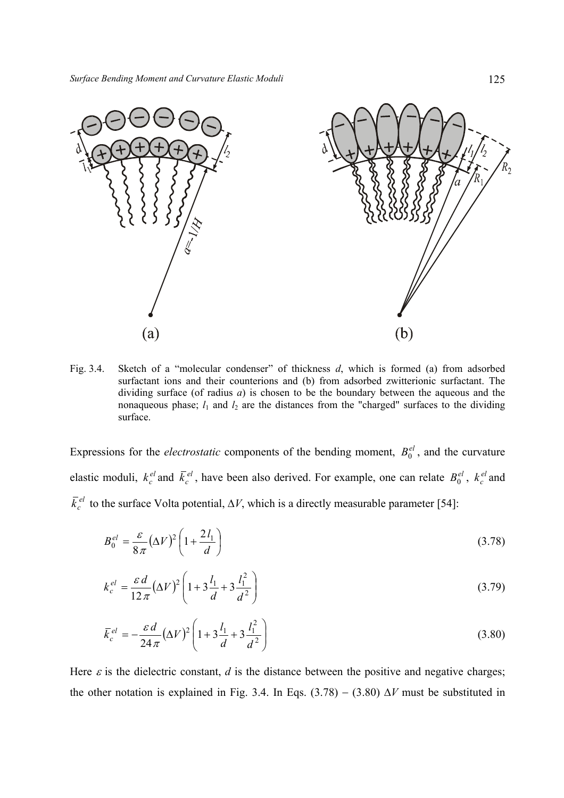

Fig. 3.4. Sketch of a "molecular condenser" of thickness *d*, which is formed (a) from adsorbed surfactant ions and their counterions and (b) from adsorbed zwitterionic surfactant. The dividing surface (of radius *a*) is chosen to be the boundary between the aqueous and the nonaqueous phase;  $l_1$  and  $l_2$  are the distances from the "charged" surfaces to the dividing surface.

Expressions for the *electrostatic* components of the bending moment,  $B_0^{el}$ , and the curvature elastic moduli,  $k_c^{el}$  and  $\bar{k}_c^{el}$ , have been also derived. For example, one can relate  $B_0^{el}$ ,  $k_c^{el}$  and  $\bar{k}_c^{el}$  to the surface Volta potential,  $\Delta V$ , which is a directly measurable parameter [54]:

$$
B_0^{el} = \frac{\varepsilon}{8\pi} (\Delta V)^2 \left( 1 + \frac{2l_1}{d} \right) \tag{3.78}
$$

$$
k_c^{el} = \frac{\varepsilon d}{12\pi} (\Delta V)^2 \left( 1 + 3\frac{l_1}{d} + 3\frac{l_1^2}{d^2} \right)
$$
 (3.79)

$$
\bar{k}_c^{el} = -\frac{\varepsilon d}{24\pi} (\Delta V)^2 \left( 1 + 3\frac{l_1}{d} + 3\frac{l_1^2}{d^2} \right)
$$
\n(3.80)

Here  $\varepsilon$  is the dielectric constant, *d* is the distance between the positive and negative charges; the other notation is explained in Fig. 3.4. In Eqs.  $(3.78) - (3.80) \Delta V$  must be substituted in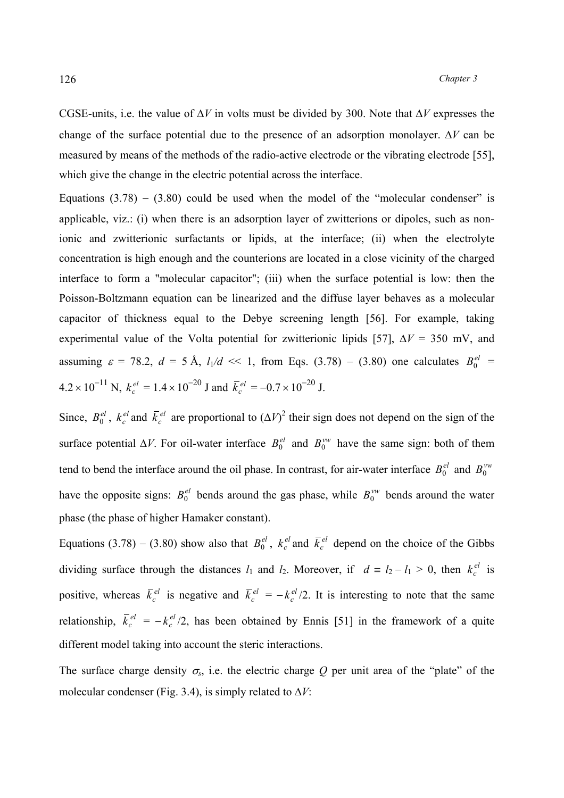CGSE-units, i.e. the value of ∆*V* in volts must be divided by 300. Note that ∆*V* expresses the change of the surface potential due to the presence of an adsorption monolayer. ∆*V* can be measured by means of the methods of the radio-active electrode or the vibrating electrode [55], which give the change in the electric potential across the interface.

Equations  $(3.78) - (3.80)$  could be used when the model of the "molecular condenser" is applicable, viz.: (i) when there is an adsorption layer of zwitterions or dipoles, such as nonionic and zwitterionic surfactants or lipids, at the interface; (ii) when the electrolyte concentration is high enough and the counterions are located in a close vicinity of the charged interface to form a "molecular capacitor"; (iii) when the surface potential is low: then the Poisson-Boltzmann equation can be linearized and the diffuse layer behaves as a molecular capacitor of thickness equal to the Debye screening length [56]. For example, taking experimental value of the Volta potential for zwitterionic lipids [57], ∆*V* = 350 mV, and assuming  $\varepsilon = 78.2$ ,  $d = 5 \text{ Å}$ ,  $l_1/d \ll 1$ , from Eqs. (3.78) – (3.80) one calculates  $B_0^{el}$  $4.2 \times 10^{-11}$  N,  $k_c^{el} = 1.4 \times 10^{-20}$  J and  $\bar{k}_c^{el} = -0.7 \times 10^{-20}$  J.

Since,  $B_0^{el}$ ,  $k_c^{el}$  and  $\bar{k}_c^{el}$  are proportional to  $(\Delta V)^2$  their sign does not depend on the sign of the surface potential  $\Delta V$ . For oil-water interface  $B_0^{el}$  and  $B_0^{vw}$  have the same sign: both of them tend to bend the interface around the oil phase. In contrast, for air-water interface  $B_0^{el}$  and  $B_0^{vw}$ have the opposite signs:  $B_0^{el}$  bends around the gas phase, while  $B_0^{\nu\nu}$  bends around the water phase (the phase of higher Hamaker constant).

Equations (3.78) – (3.80) show also that  $B_0^{el}$ ,  $k_c^{el}$  and  $\bar{k}_c^{el}$  depend on the choice of the Gibbs dividing surface through the distances  $l_1$  and  $l_2$ . Moreover, if  $d \equiv l_2 - l_1 > 0$ , then  $k_c^{el}$  is positive, whereas  $\bar{k}_c^{el}$  is negative and  $\bar{k}_c^{el} = -k_c^{el}/2$ . It is interesting to note that the same relationship,  $\bar{k}_c^{el} = -k_c^{el}/2$ , has been obtained by Ennis [51] in the framework of a quite different model taking into account the steric interactions.

The surface charge density  $\sigma_s$ , i.e. the electric charge *Q* per unit area of the "plate" of the molecular condenser (Fig. 3.4), is simply related to ∆*V*: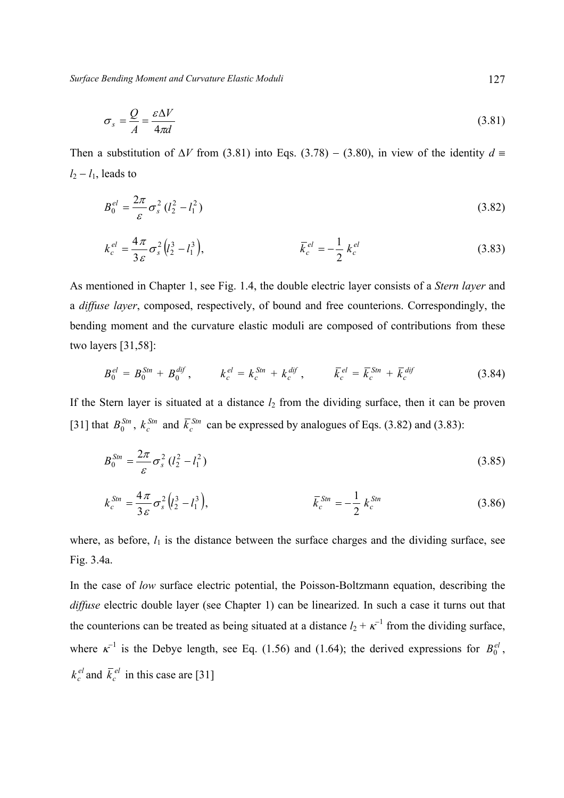*Surface Bending Moment and Curvature Elastic Moduli* 127

$$
\sigma_s = \frac{Q}{A} = \frac{\varepsilon \Delta V}{4\pi d} \tag{3.81}
$$

Then a substitution of  $\Delta V$  from (3.81) into Eqs. (3.78) – (3.80), in view of the identity  $d \equiv$  $l_2 - l_1$ , leads to

$$
B_0^{el} = \frac{2\pi}{\varepsilon} \sigma_s^2 (l_2^2 - l_1^2)
$$
 (3.82)

$$
k_c^{el} = \frac{4\pi}{3\varepsilon}\sigma_s^2 (l_2^3 - l_1^3), \qquad \bar{k}_c^{el} = -\frac{1}{2} k_c^{el} \qquad (3.83)
$$

As mentioned in Chapter 1, see Fig. 1.4, the double electric layer consists of a *Stern layer* and a *diffuse layer*, composed, respectively, of bound and free counterions. Correspondingly, the bending moment and the curvature elastic moduli are composed of contributions from these two layers [31,58]:

$$
B_0^{el} = B_0^{Stn} + B_0^{dif}, \qquad k_c^{el} = k_c^{Stn} + k_c^{dif}, \qquad \bar{k}_c^{el} = \bar{k}_c^{Stn} + \bar{k}_c^{dif} \tag{3.84}
$$

If the Stern layer is situated at a distance  $l_2$  from the dividing surface, then it can be proven [31] that  $B_0^{Stn}$ ,  $k_c^{Sm}$  and  $\overline{k}_c^{Sm}$  can be expressed by analogues of Eqs. (3.82) and (3.83):

$$
B_0^{Sm} = \frac{2\pi}{\varepsilon} \sigma_s^2 (l_2^2 - l_1^2)
$$
 (3.85)

$$
k_c^{Sm} = \frac{4\pi}{3\varepsilon} \sigma_s^2 (l_2^3 - l_1^3), \qquad \bar{k}_c^{Sm} = -\frac{1}{2} k_c^{Sm}
$$
 (3.86)

where, as before,  $l_1$  is the distance between the surface charges and the dividing surface, see Fig. 3.4a.

In the case of *low* surface electric potential, the Poisson-Boltzmann equation, describing the *diffuse* electric double layer (see Chapter 1) can be linearized. In such a case it turns out that the counterions can be treated as being situated at a distance  $l_2 + \kappa^{-1}$  from the dividing surface, where  $\kappa^{-1}$  is the Debye length, see Eq. (1.56) and (1.64); the derived expressions for  $B_0^{el}$ ,  $k_c^{el}$  and  $\bar{k}_c^{el}$  in this case are [31]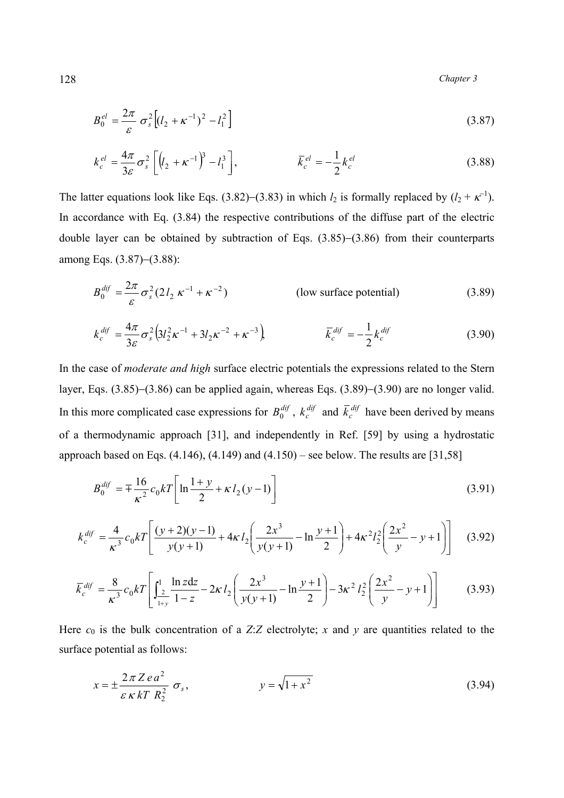$$
B_0^{el} = \frac{2\pi}{\varepsilon} \sigma_s^2 \left[ (l_2 + \kappa^{-1})^2 - l_1^2 \right] \tag{3.87}
$$

$$
k_c^{el} = \frac{4\pi}{3\varepsilon} \sigma_s^2 \left[ \left( l_2 + \kappa^{-1} \right)^3 - l_1^3 \right], \qquad \bar{k}_c^{el} = -\frac{1}{2} k_c^{el} \qquad (3.88)
$$

The latter equations look like Eqs. (3.82)–(3.83) in which  $l_2$  is formally replaced by  $(l_2 + \kappa^{-1})$ . In accordance with Eq. (3.84) the respective contributions of the diffuse part of the electric double layer can be obtained by subtraction of Eqs. (3.85)−(3.86) from their counterparts among Eqs. (3.87)−(3.88):

$$
B_0^{dif} = \frac{2\pi}{\varepsilon} \sigma_s^2 (2l_2 \kappa^{-1} + \kappa^{-2})
$$
 (low surface potential) (3.89)

$$
k_c^{dif} = \frac{4\pi}{3\varepsilon} \sigma_s^2 \left( 3l_2^2 \kappa^{-1} + 3l_2 \kappa^{-2} + \kappa^{-3} \right) \qquad \qquad \bar{k}_c^{dif} = -\frac{1}{2} k_c^{dif} \qquad (3.90)
$$

In the case of *moderate and high* surface electric potentials the expressions related to the Stern layer, Eqs. (3.85)−(3.86) can be applied again, whereas Eqs. (3.89)−(3.90) are no longer valid. In this more complicated case expressions for  $B_0^{dif}$ ,  $k_c^{dif}$  and  $\bar{k}_c^{dif}$  have been derived by means of a thermodynamic approach [31], and independently in Ref. [59] by using a hydrostatic approach based on Eqs.  $(4.146)$ ,  $(4.149)$  and  $(4.150)$  – see below. The results are [31,58]

$$
B_0^{dif} = \pm \frac{16}{\kappa^2} c_0 k T \left[ \ln \frac{1+y}{2} + \kappa l_2 (y-1) \right]
$$
 (3.91)

$$
k_c^{dif} = \frac{4}{\kappa^3} c_0 kT \left[ \frac{(y+2)(y-1)}{y(y+1)} + 4\kappa l_2 \left( \frac{2x^3}{y(y+1)} - \ln \frac{y+1}{2} \right) + 4\kappa^2 l_2^2 \left( \frac{2x^2}{y} - y + 1 \right) \right] \tag{3.92}
$$

$$
\bar{k}_c^{dif} = \frac{8}{\kappa^3} c_0 kT \left[ \int_{\frac{2}{1+y}}^1 \frac{\ln z \, dz}{1-z} - 2\kappa l_2 \left( \frac{2x^3}{y(y+1)} - \ln \frac{y+1}{2} \right) - 3\kappa^2 l_2^2 \left( \frac{2x^2}{y} - y + 1 \right) \right] \tag{3.93}
$$

Here  $c_0$  is the bulk concentration of a *Z*:*Z* electrolyte; *x* and *y* are quantities related to the surface potential as follows:

$$
x = \pm \frac{2\pi Zea^2}{\varepsilon\kappa kT R_2^2} \sigma_s, \qquad y = \sqrt{1+x^2} \tag{3.94}
$$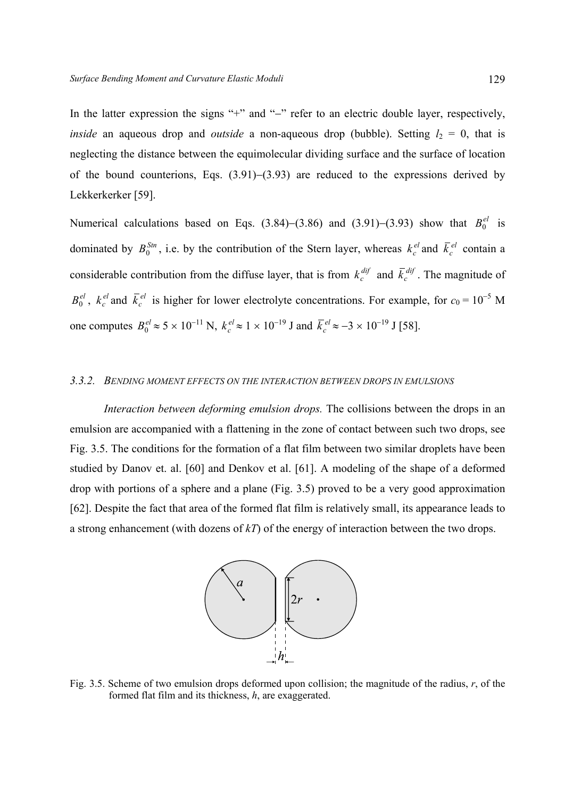In the latter expression the signs "+" and "−" refer to an electric double layer, respectively, *inside* an aqueous drop and *outside* a non-aqueous drop (bubble). Setting  $l_2 = 0$ , that is neglecting the distance between the equimolecular dividing surface and the surface of location of the bound counterions, Eqs. (3.91)−(3.93) are reduced to the expressions derived by Lekkerkerker [59].

Numerical calculations based on Eqs. (3.84)–(3.86) and (3.91)–(3.93) show that  $B_0^{el}$  is dominated by  $B_0^{Stn}$ , i.e. by the contribution of the Stern layer, whereas  $k_c^{el}$  and  $\bar{k}_c^{el}$  contain a considerable contribution from the diffuse layer, that is from  $k_c^{dif}$  and  $\bar{k}_c^{dif}$ . The magnitude of  $B_0^{el}$ ,  $k_c^{el}$  and  $\bar{k}_c^{el}$  is higher for lower electrolyte concentrations. For example, for  $c_0 = 10^{-5}$  M one computes  $B_0^{el} \approx 5 \times 10^{-11}$  N,  $k_c^{el} \approx 1 \times 10^{-19}$  J and  $\bar{k}_c^{el} \approx -3 \times 10^{-19}$  J [58].

#### *3.3.2. BENDING MOMENT EFFECTS ON THE INTERACTION BETWEEN DROPS IN EMULSIONS*

 *Interaction between deforming emulsion drops.* The collisions between the drops in an emulsion are accompanied with a flattening in the zone of contact between such two drops, see Fig. 3.5. The conditions for the formation of a flat film between two similar droplets have been studied by Danov et. al. [60] and Denkov et al. [61]. A modeling of the shape of a deformed drop with portions of a sphere and a plane (Fig. 3.5) proved to be a very good approximation [62]. Despite the fact that area of the formed flat film is relatively small, its appearance leads to a strong enhancement (with dozens of *kT*) of the energy of interaction between the two drops.



Fig. 3.5. Scheme of two emulsion drops deformed upon collision; the magnitude of the radius, *r*, of the formed flat film and its thickness, *h*, are exaggerated.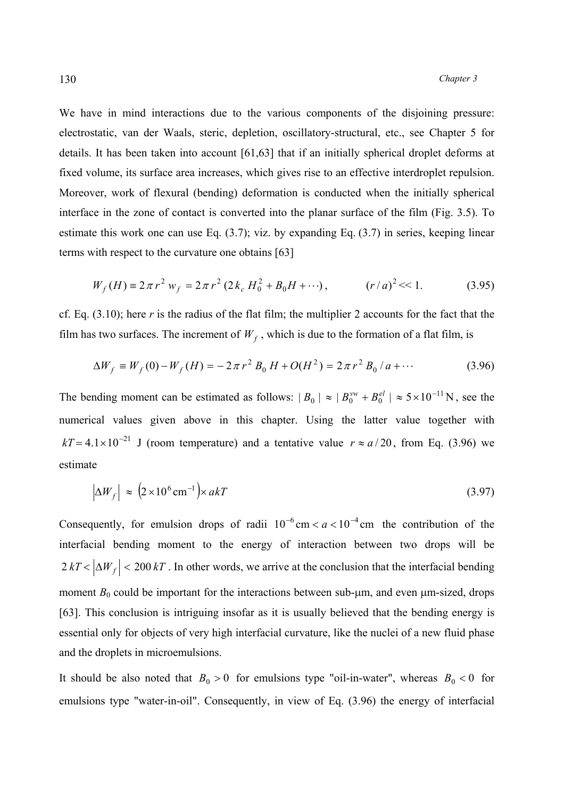We have in mind interactions due to the various components of the disjoining pressure: electrostatic, van der Waals, steric, depletion, oscillatory-structural, etc., see Chapter 5 for details. It has been taken into account [61,63] that if an initially spherical droplet deforms at fixed volume, its surface area increases, which gives rise to an effective interdroplet repulsion. Moreover, work of flexural (bending) deformation is conducted when the initially spherical interface in the zone of contact is converted into the planar surface of the film (Fig. 3.5). To estimate this work one can use Eq. (3.7); viz. by expanding Eq. (3.7) in series, keeping linear terms with respect to the curvature one obtains [63]

$$
W_f(H) \equiv 2\pi r^2 w_f = 2\pi r^2 (2k_c H_0^2 + B_0 H + \cdots), \qquad (r/a)^2 \ll 1. \tag{3.95}
$$

cf. Eq. (3.10); here *r* is the radius of the flat film; the multiplier 2 accounts for the fact that the film has two surfaces. The increment of  $W_f$ , which is due to the formation of a flat film, is

$$
\Delta W_f \equiv W_f(0) - W_f(H) = -2\pi r^2 B_0 H + O(H^2) = 2\pi r^2 B_0 / a + \cdots
$$
 (3.96)

The bending moment can be estimated as follows:  $|B_0| \approx |B_0^{vw} + B_0^{el}| \approx 5 \times 10^{-11} \text{ N}$ , see the numerical values given above in this chapter. Using the latter value together with  $kT = 4.1 \times 10^{-21}$  J (room temperature) and a tentative value  $r \approx a/20$ , from Eq. (3.96) we estimate

$$
\left|\Delta W_f\right| \approx \left(2 \times 10^6 \,\text{cm}^{-1}\right) \times akT \tag{3.97}
$$

Consequently, for emulsion drops of radii  $10^{-6}$  cm  $< a < 10^{-4}$  cm the contribution of the interfacial bending moment to the energy of interaction between two drops will be  $2 kT < |\Delta W_f| < 200 kT$ . In other words, we arrive at the conclusion that the interfacial bending moment  $B_0$  could be important for the interactions between sub- $\mu$ m, and even  $\mu$ m-sized, drops [63]. This conclusion is intriguing insofar as it is usually believed that the bending energy is essential only for objects of very high interfacial curvature, like the nuclei of a new fluid phase and the droplets in microemulsions.

It should be also noted that  $B_0 > 0$  for emulsions type "oil-in-water", whereas  $B_0 < 0$  for emulsions type "water-in-oil". Consequently, in view of Eq. (3.96) the energy of interfacial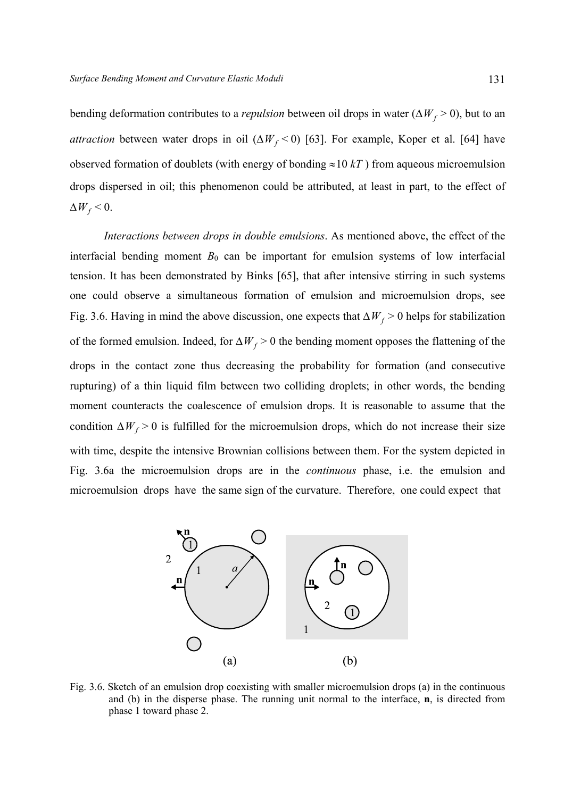bending deformation contributes to a *repulsion* between oil drops in water ( $\Delta W_f > 0$ ), but to an *attraction* between water drops in oil ( $\Delta W_f$  < 0) [63]. For example, Koper et al. [64] have observed formation of doublets (with energy of bonding  $\approx 10 kT$ ) from aqueous microemulsion drops dispersed in oil; this phenomenon could be attributed, at least in part, to the effect of  $\Delta W_f$  < 0.

 *Interactions between drops in double emulsions*. As mentioned above, the effect of the interfacial bending moment  $B_0$  can be important for emulsion systems of low interfacial tension. It has been demonstrated by Binks [65], that after intensive stirring in such systems one could observe a simultaneous formation of emulsion and microemulsion drops, see Fig. 3.6. Having in mind the above discussion, one expects that  $\Delta W_f > 0$  helps for stabilization of the formed emulsion. Indeed, for  $\Delta W_f > 0$  the bending moment opposes the flattening of the drops in the contact zone thus decreasing the probability for formation (and consecutive rupturing) of a thin liquid film between two colliding droplets; in other words, the bending moment counteracts the coalescence of emulsion drops. It is reasonable to assume that the condition  $\Delta W_f > 0$  is fulfilled for the microemulsion drops, which do not increase their size with time, despite the intensive Brownian collisions between them. For the system depicted in Fig. 3.6a the microemulsion drops are in the *continuous* phase, i.e. the emulsion and microemulsion drops have the same sign of the curvature. Therefore, one could expect that



Fig. 3.6. Sketch of an emulsion drop coexisting with smaller microemulsion drops (a) in the continuous and (b) in the disperse phase. The running unit normal to the interface, **n**, is directed from phase 1 toward phase 2.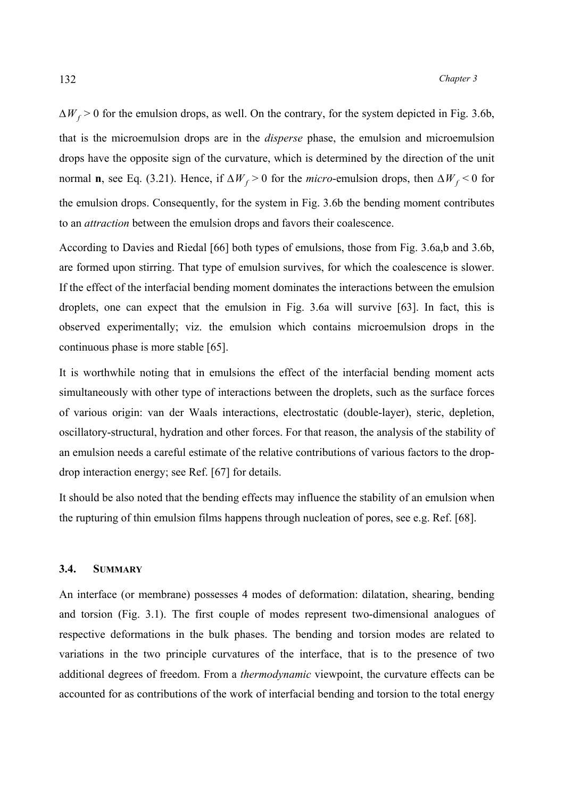$\Delta W_f$  > 0 for the emulsion drops, as well. On the contrary, for the system depicted in Fig. 3.6b, that is the microemulsion drops are in the *disperse* phase, the emulsion and microemulsion drops have the opposite sign of the curvature, which is determined by the direction of the unit normal **n**, see Eq. (3.21). Hence, if  $\Delta W_f > 0$  for the *micro*-emulsion drops, then  $\Delta W_f < 0$  for the emulsion drops. Consequently, for the system in Fig. 3.6b the bending moment contributes to an *attraction* between the emulsion drops and favors their coalescence.

According to Davies and Riedal [66] both types of emulsions, those from Fig. 3.6a,b and 3.6b, are formed upon stirring. That type of emulsion survives, for which the coalescence is slower. If the effect of the interfacial bending moment dominates the interactions between the emulsion droplets, one can expect that the emulsion in Fig. 3.6a will survive [63]. In fact, this is observed experimentally; viz. the emulsion which contains microemulsion drops in the continuous phase is more stable [65].

It is worthwhile noting that in emulsions the effect of the interfacial bending moment acts simultaneously with other type of interactions between the droplets, such as the surface forces of various origin: van der Waals interactions, electrostatic (double-layer), steric, depletion, oscillatory-structural, hydration and other forces. For that reason, the analysis of the stability of an emulsion needs a careful estimate of the relative contributions of various factors to the dropdrop interaction energy; see Ref. [67] for details.

It should be also noted that the bending effects may influence the stability of an emulsion when the rupturing of thin emulsion films happens through nucleation of pores, see e.g. Ref. [68].

### **3.4. SUMMARY**

An interface (or membrane) possesses 4 modes of deformation: dilatation, shearing, bending and torsion (Fig. 3.1). The first couple of modes represent two-dimensional analogues of respective deformations in the bulk phases. The bending and torsion modes are related to variations in the two principle curvatures of the interface, that is to the presence of two additional degrees of freedom. From a *thermodynamic* viewpoint, the curvature effects can be accounted for as contributions of the work of interfacial bending and torsion to the total energy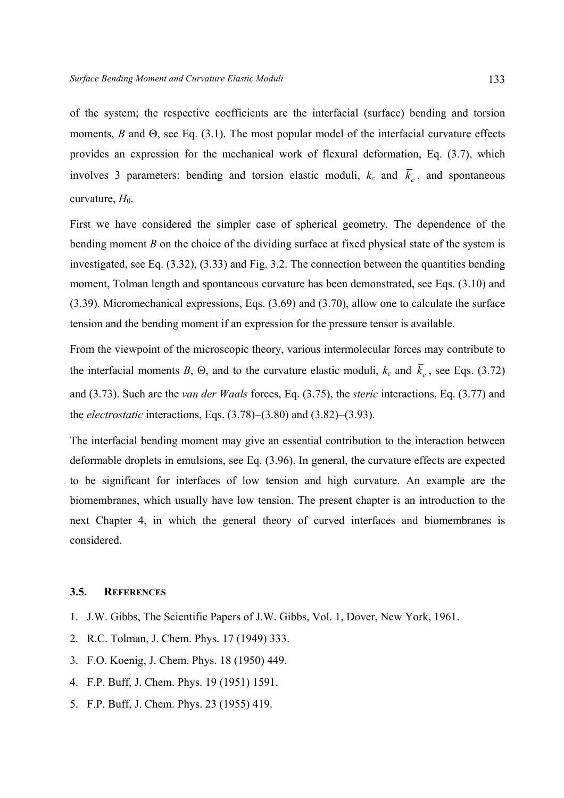of the system; the respective coefficients are the interfacial (surface) bending and torsion moments, *B* and Θ, see Eq. (3.1). The most popular model of the interfacial curvature effects provides an expression for the mechanical work of flexural deformation, Eq. (3.7), which involves 3 parameters: bending and torsion elastic moduli,  $k_c$  and  $\bar{k}_c$ , and spontaneous curvature,  $H_0$ .

First we have considered the simpler case of spherical geometry. The dependence of the bending moment *B* on the choice of the dividing surface at fixed physical state of the system is investigated, see Eq. (3.32), (3.33) and Fig. 3.2. The connection between the quantities bending moment, Tolman length and spontaneous curvature has been demonstrated, see Eqs. (3.10) and (3.39). Micromechanical expressions, Eqs. (3.69) and (3.70), allow one to calculate the surface tension and the bending moment if an expression for the pressure tensor is available.

From the viewpoint of the microscopic theory, various intermolecular forces may contribute to the interfacial moments *B*,  $\Theta$ , and to the curvature elastic moduli,  $k_c$  and  $\bar{k}_c$ , see Eqs. (3.72) and (3.73). Such are the *van der Waals* forces, Eq. (3.75), the *steric* interactions, Eq. (3.77) and the *electrostatic* interactions, Eqs. (3.78)−(3.80) and (3.82)−(3.93).

The interfacial bending moment may give an essential contribution to the interaction between deformable droplets in emulsions, see Eq. (3.96). In general, the curvature effects are expected to be significant for interfaces of low tension and high curvature. An example are the biomembranes, which usually have low tension. The present chapter is an introduction to the next Chapter 4, in which the general theory of curved interfaces and biomembranes is considered.

### **3.5. REFERENCES**

- 1. J.W. Gibbs, The Scientific Papers of J.W. Gibbs, Vol. 1, Dover, New York, 1961.
- 2. R.C. Tolman, J. Chem. Phys. 17 (1949) 333.
- 3. F.O. Koenig, J. Chem. Phys. 18 (1950) 449.
- 4. F.P. Buff, J. Chem. Phys. 19 (1951) 1591.
- 5. F.P. Buff, J. Chem. Phys. 23 (1955) 419.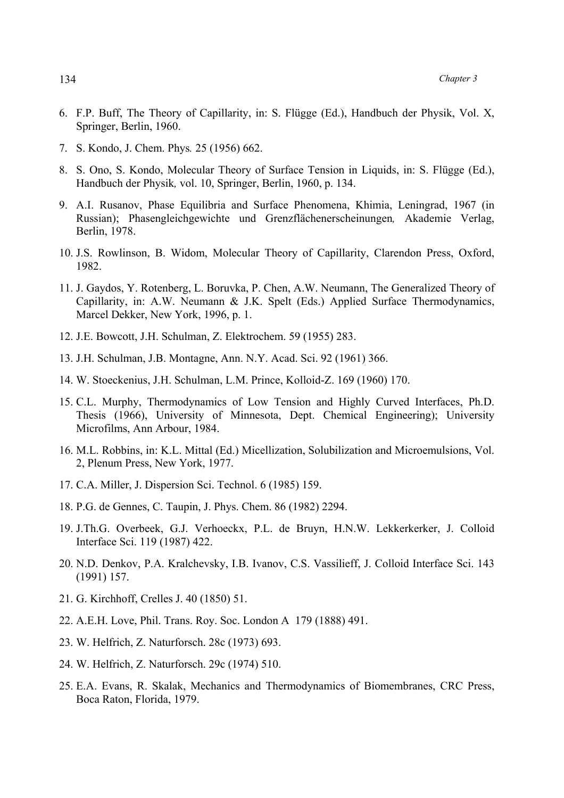- 6. F.P. Buff, The Theory of Capillarity, in: S. Flügge (Ed.), Handbuch der Physik, Vol. X, Springer, Berlin, 1960.
- 7. S. Kondo, J. Chem. Phys*.* 25 (1956) 662.
- 8. S. Ono, S. Kondo, Molecular Theory of Surface Tension in Liquids, in: S. Flügge (Ed.), Handbuch der Physik*,* vol. 10, Springer, Berlin, 1960, p. 134.
- 9. A.I. Rusanov, Phase Equilibria and Surface Phenomena, Khimia, Leningrad, 1967 (in Russian); Phasengleichgewichte und Grenzflächenerscheinungen*,* Akademie Verlag, Berlin, 1978.
- 10. J.S. Rowlinson, B. Widom, Molecular Theory of Capillarity, Clarendon Press, Oxford, 1982.
- 11. J. Gaydos, Y. Rotenberg, L. Boruvka, P. Chen, A.W. Neumann, The Generalized Theory of Capillarity, in: A.W. Neumann & J.K. Spelt (Eds.) Applied Surface Thermodynamics, Marcel Dekker, New York, 1996, p. 1.
- 12. J.E. Bowcott, J.H. Schulman, Z. Elektrochem. 59 (1955) 283.
- 13. J.H. Schulman, J.B. Montagne, Ann. N.Y. Acad. Sci. 92 (1961) 366.
- 14. W. Stoeckenius, J.H. Schulman, L.M. Prince, Kolloid-Z. 169 (1960) 170.
- 15. C.L. Murphy, Thermodynamics of Low Tension and Highly Curved Interfaces, Ph.D. Thesis (1966), University of Minnesota, Dept. Chemical Engineering); University Microfilms, Ann Arbour, 1984.
- 16. M.L. Robbins, in: K.L. Mittal (Ed.) Micellization, Solubilization and Microemulsions, Vol. 2, Plenum Press, New York, 1977.
- 17. C.A. Miller, J. Dispersion Sci. Technol. 6 (1985) 159.
- 18. P.G. de Gennes, C. Taupin, J. Phys. Chem. 86 (1982) 2294.
- 19. J.Th.G. Overbeek, G.J. Verhoeckx, P.L. de Bruyn, H.N.W. Lekkerkerker, J. Colloid Interface Sci. 119 (1987) 422.
- 20. N.D. Denkov, P.A. Kralchevsky, I.B. Ivanov, C.S. Vassilieff, J. Colloid Interface Sci. 143 (1991) 157.
- 21. G. Kirchhoff, Crelles J. 40 (1850) 51.
- 22. A.E.H. Love, Phil. Trans. Roy. Soc. London A 179 (1888) 491.
- 23. W. Helfrich, Z. Naturforsch. 28c (1973) 693.
- 24. W. Helfrich, Z. Naturforsch. 29c (1974) 510.
- 25. E.A. Evans, R. Skalak, Mechanics and Thermodynamics of Biomembranes, CRC Press, Boca Raton, Florida, 1979.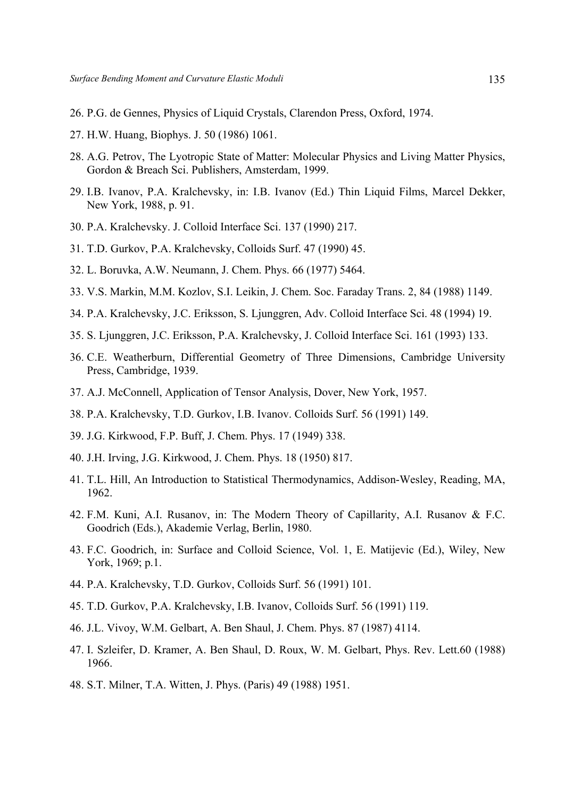- 26. P.G. de Gennes, Physics of Liquid Crystals, Clarendon Press, Oxford, 1974.
- 27. H.W. Huang, Biophys. J. 50 (1986) 1061.
- 28. A.G. Petrov, The Lyotropic State of Matter: Molecular Physics and Living Matter Physics, Gordon & Breach Sci. Publishers, Amsterdam, 1999.
- 29. I.B. Ivanov, P.A. Kralchevsky, in: I.B. Ivanov (Ed.) Thin Liquid Films, Marcel Dekker, New York, 1988, p. 91.
- 30. P.A. Kralchevsky. J. Colloid Interface Sci. 137 (1990) 217.
- 31. T.D. Gurkov, P.A. Kralchevsky, Colloids Surf. 47 (1990) 45.
- 32. L. Boruvka, A.W. Neumann, J. Chem. Phys. 66 (1977) 5464.
- 33. V.S. Markin, M.M. Kozlov, S.I. Leikin, J. Chem. Soc. Faraday Trans. 2, 84 (1988) 1149.
- 34. P.A. Kralchevsky, J.C. Eriksson, S. Ljunggren, Adv. Colloid Interface Sci. 48 (1994) 19.
- 35. S. Ljunggren, J.C. Eriksson, P.A. Kralchevsky, J. Colloid Interface Sci. 161 (1993) 133.
- 36. C.E. Weatherburn, Differential Geometry of Three Dimensions, Cambridge University Press, Cambridge, 1939.
- 37. A.J. McConnell, Application of Tensor Analysis, Dover, New York, 1957.
- 38. P.A. Kralchevsky, T.D. Gurkov, I.B. Ivanov. Colloids Surf. 56 (1991) 149.
- 39. J.G. Kirkwood, F.P. Buff, J. Chem. Phys. 17 (1949) 338.
- 40. J.H. Irving, J.G. Kirkwood, J. Chem. Phys. 18 (1950) 817.
- 41. T.L. Hill, An Introduction to Statistical Thermodynamics, Addison-Wesley, Reading, MA, 1962.
- 42. F.M. Kuni, A.I. Rusanov, in: The Modern Theory of Capillarity, A.I. Rusanov & F.C. Goodrich (Eds.), Akademie Verlag, Berlin, 1980.
- 43. F.C. Goodrich, in: Surface and Colloid Science, Vol. 1, E. Matijevic (Ed.), Wiley, New York, 1969; p.1.
- 44. P.A. Kralchevsky, T.D. Gurkov, Colloids Surf. 56 (1991) 101.
- 45. T.D. Gurkov, P.A. Kralchevsky, I.B. Ivanov, Colloids Surf. 56 (1991) 119.
- 46. J.L. Vivoy, W.M. Gelbart, A. Ben Shaul, J. Chem. Phys. 87 (1987) 4114.
- 47. I. Szleifer, D. Kramer, A. Ben Shaul, D. Roux, W. M. Gelbart, Phys. Rev. Lett.60 (1988) 1966.
- 48. S.T. Milner, T.A. Witten, J. Phys. (Paris) 49 (1988) 1951.